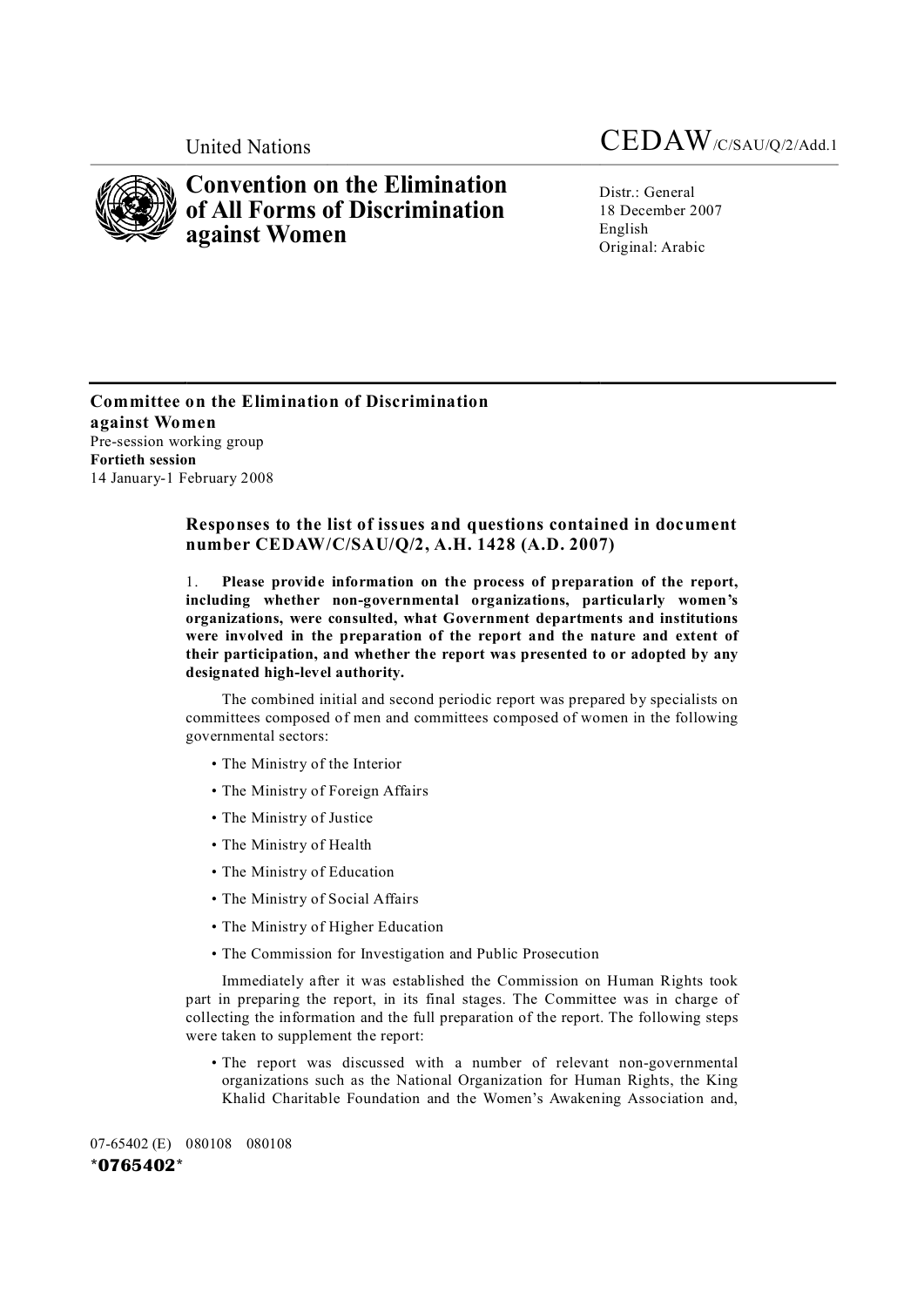

# **Convention on the Elimination of All Forms of Discrimination against Women**

Distr.: General 18 December 2007 English Original: Arabic

**Committee on the Elimination of Discrimination against Women** Pre-session working group **Fortieth session** 14 January-1 February 2008

# **Responses to the list of issues and questions contained in document number CEDAW/C/SAU/Q/2, A.H. 1428 (A.D. 2007)**

1. **Please provide information on the process of preparation of the report, including whether nongovernmental organizations, particularly women's organizations, were consulted, what Government departments and institutions were involved in the preparation of the report and the nature and extent of their participation, and whether the report was presented to or adopted by any** designated high-level authority.

The combined initial and second periodic report was prepared by specialists on committees composed of men and committees composed of women in the following governmental sectors:

- The Ministry of the Interior
- The Ministry of Foreign Affairs
- The Ministry of Justice
- The Ministry of Health
- The Ministry of Education
- The Ministry of Social Affairs
- The Ministry of Higher Education
- The Commission for Investigation and Public Prosecution

Immediately after it was established the Commission on Human Rights took part in preparing the report, in its final stages. The Committee was in charge of collecting the information and the full preparation of the report. The following steps were taken to supplement the report:

• The report was discussed with a number of relevant non-governmental organizations such as the National Organization for Human Rights, the King Khalid Charitable Foundation and the Women's Awakening Association and,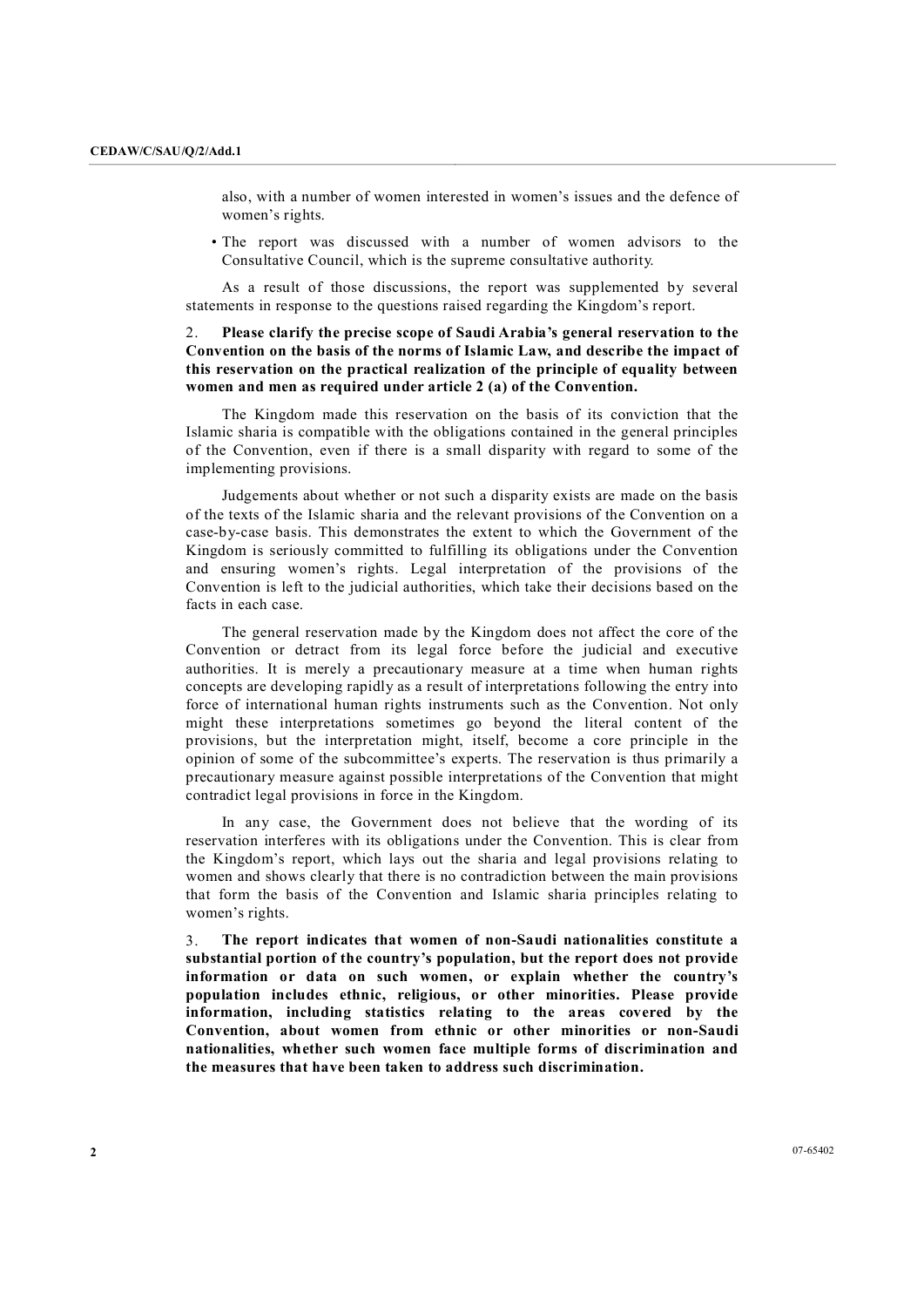also, with a number of women interested in women's issues and the defence of women's rights.

• The report was discussed with a number of women advisors to the Consultative Council, which is the supreme consultative authority.

As a result of those discussions, the report was supplemented by several statements in response to the questions raised regarding the Kingdom's report.

## 2. **Please clarify the precise scope of Saudi Arabia's general reservation to the Convention on the basis of the norms of Islamic Law, and describe the impact of this reservation on the practical realization of the principle of equality between women and men as required under article 2 (a) of the Convention.**

The Kingdom made this reservation on the basis of its conviction that the Islamic sharia is compatible with the obligations contained in the general principles of the Convention, even if there is a small disparity with regard to some of the implementing provisions.

Judgements about whether or not such a disparity exists are made on the basis of the texts of the Islamic sharia and the relevant provisions of the Convention on a case-by-case basis. This demonstrates the extent to which the Government of the Kingdom is seriously committed to fulfilling its obligations under the Convention and ensuring women's rights. Legal interpretation of the provisions of the Convention is left to the judicial authorities, which take their decisions based on the facts in each case.

The general reservation made by the Kingdom does not affect the core of the Convention or detract from its legal force before the judicial and executive authorities. It is merely a precautionary measure at a time when human rights concepts are developing rapidly as a result of interpretations following the entry into force of international human rights instruments such as the Convention. Not only might these interpretations sometimes go beyond the literal content of the provisions, but the interpretation might, itself, become a core principle in the opinion of some of the subcommittee's experts. The reservation is thus primarily a precautionary measure against possible interpretations of the Convention that might contradict legal provisions in force in the Kingdom.

In any case, the Government does not believe that the wording of its reservation interferes with its obligations under the Convention. This is clear from the Kingdom's report, which lays out the sharia and legal provisions relating to women and shows clearly that there is no contradiction between the main provisions that form the basis of the Convention and Islamic sharia principles relating to women's rights.

3. **The report indicates that women of nonSaudi nationalities constitute a substantial portion of the country's population, but the report does not provide information or data on such women, or explain whether the country's population includes ethnic, religious, or other minorities. Please provide information, including statistics relating to the areas covered by the Convention, about women from ethnic or other minorities or nonSaudi nationalities, whether such women face multiple forms of discrimination and the measures that have been taken to address such discrimination.**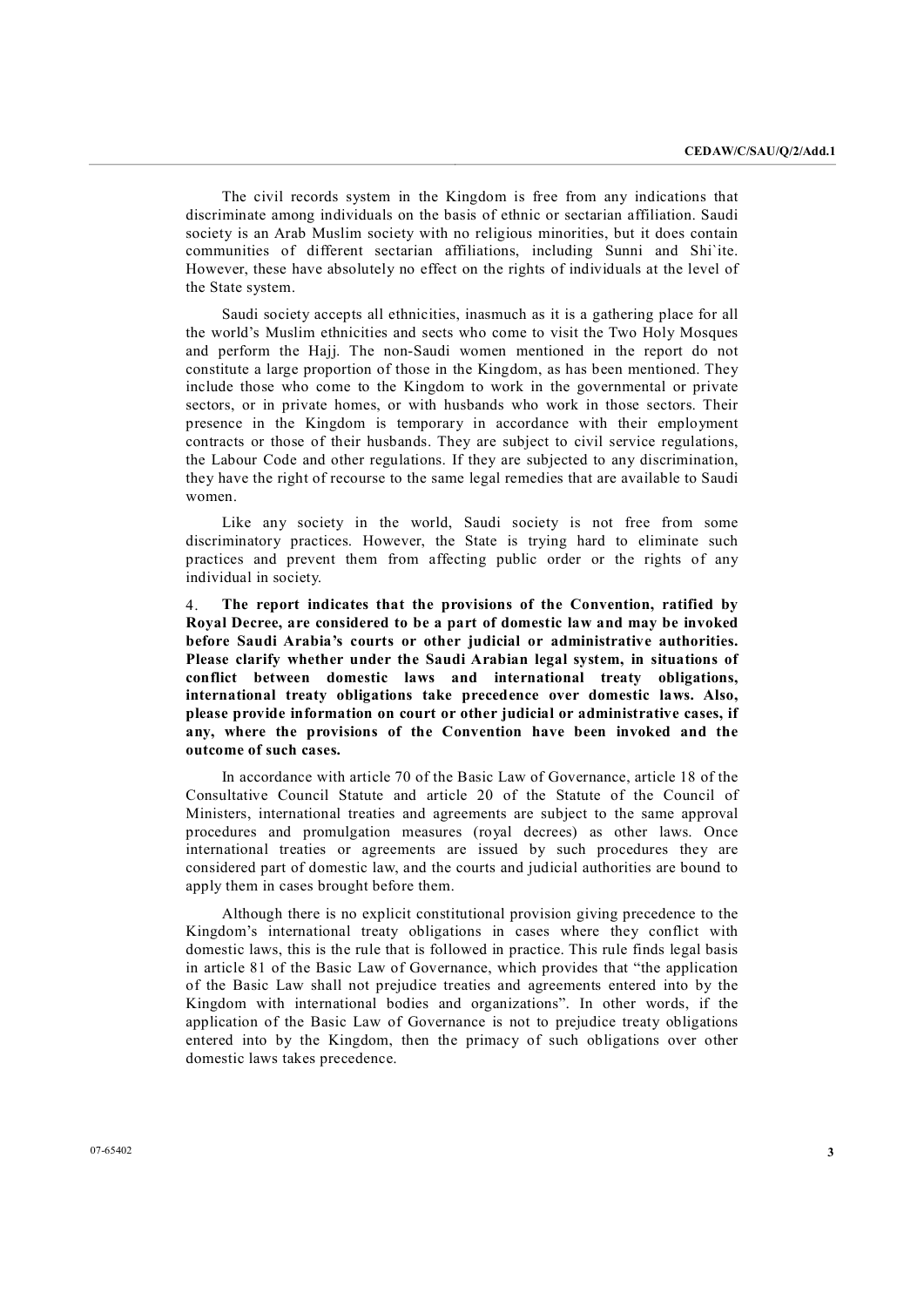The civil records system in the Kingdom is free from any indications that discriminate among individuals on the basis of ethnic or sectarian affiliation. Saudi society is an Arab Muslim society with no religious minorities, but it does contain communities of different sectarian affiliations, including Sunni and Shi`ite. However, these have absolutely no effect on the rights of individuals at the level of the State system.

Saudi society accepts all ethnicities, inasmuch as it is a gathering place for all the world's Muslim ethnicities and sects who come to visit the Two Holy Mosques and perform the Hajj. The non-Saudi women mentioned in the report do not constitute a large proportion of those in the Kingdom, as has been mentioned. They include those who come to the Kingdom to work in the governmental or private sectors, or in private homes, or with husbands who work in those sectors. Their presence in the Kingdom is temporary in accordance with their employment contracts or those of their husbands. They are subject to civil service regulations, the Labour Code and other regulations. If they are subjected to any discrimination, they have the right of recourse to the same legal remedies that are available to Saudi women.

Like any society in the world, Saudi society is not free from some discriminatory practices. However, the State is trying hard to eliminate such practices and prevent them from affecting public order or the rights of any individual in society.

4. **The report indicates that the provisions of the Convention, ratified by Royal Decree, are considered to be a part of domestic law and may be invoked before Saudi Arabia's courts or other judicial or administrative authorities. Please clarify whether under the Saudi Arabian legal system, in situations of conflict between domestic laws and international treaty obligations, international treaty obligations take precedence over domestic laws. Also, please provide information on court or other judicial or administrative cases, if any, where the provisions of the Convention have been invoked and the outcome of such cases.**

In accordance with article 70 of the Basic Law of Governance, article 18 of the Consultative Council Statute and article 20 of the Statute of the Council of Ministers, international treaties and agreements are subject to the same approval procedures and promulgation measures (royal decrees) as other laws. Once international treaties or agreements are issued by such procedures they are considered part of domestic law, and the courts and judicial authorities are bound to apply them in cases brought before them.

Although there is no explicit constitutional provision giving precedence to the Kingdom's international treaty obligations in cases where they conflict with domestic laws, this is the rule that is followed in practice. This rule finds legal basis in article 81 of the Basic Law of Governance, which provides that "the application" of the Basic Law shall not prejudice treaties and agreements entered into by the Kingdom with international bodies and organizations". In other words, if the application of the Basic Law of Governance is not to prejudice treaty obligations entered into by the Kingdom, then the primacy of such obligations over other domestic laws takes precedence.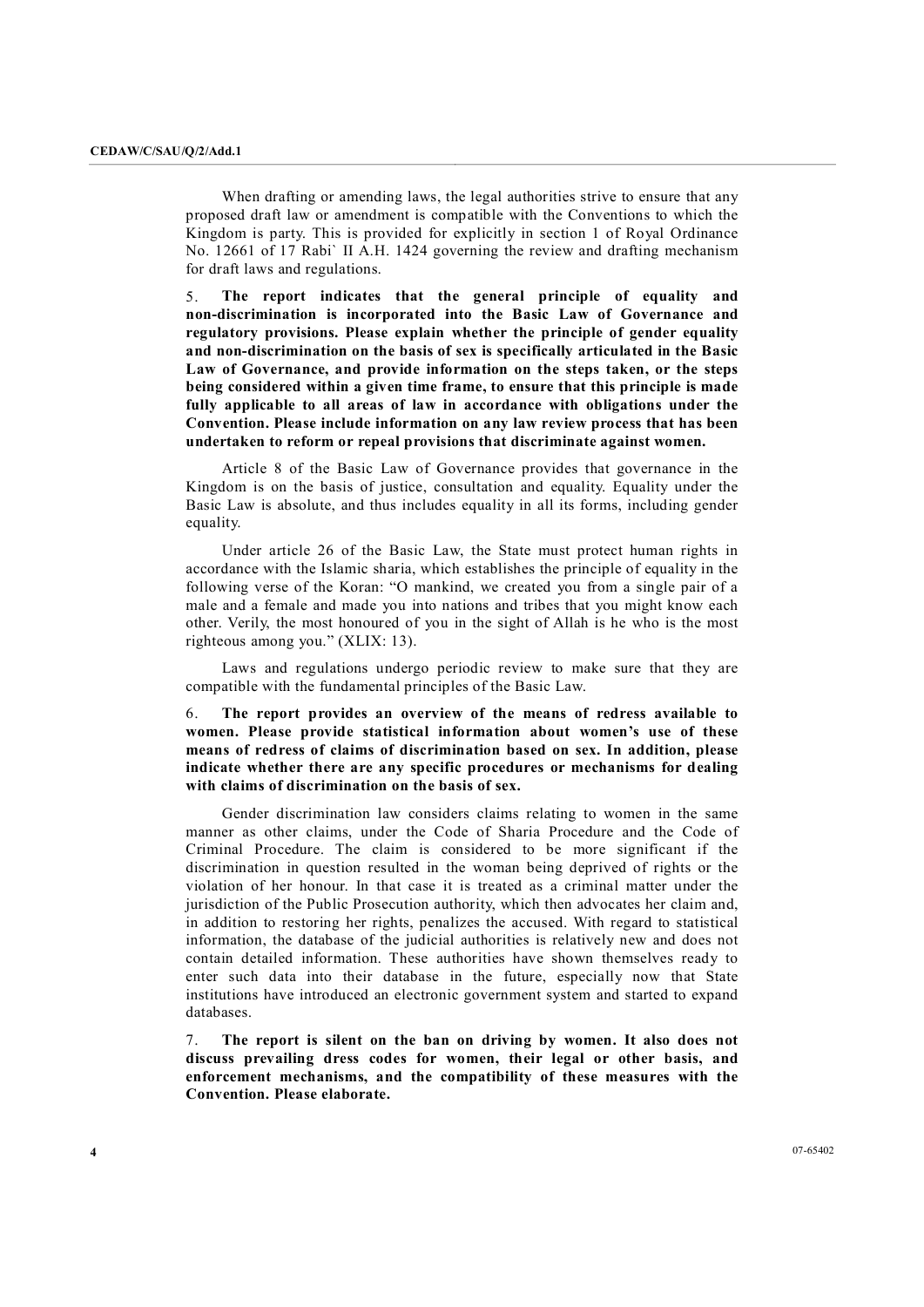When drafting or amending laws, the legal authorities strive to ensure that any proposed draft law oramendment is compatible with the Conventions to which the Kingdom is party. This is provided for explicitly in section 1 of Royal Ordinance No. 12661 of 17 Rabi` II A.H. 1424 governing the review and drafting mechanism for draft laws and regulations.

5. **The report indicates that the general principle of equality and nondiscrimination is incorporated into the Basic Law of Governance and regulatory provisions. Please explain whether the principle of gender equality and nondiscrimination on the basis of sex is specifically articulated in the Basic Law ofGovernance, and provide information on the steps taken, or the steps being considered within a given time frame, to ensure that this principle is made fully applicable to all areas of law in accordance with obligations under the Convention. Please include information on any law review process that has been undertaken to reform or repeal provisions that discriminate against women.**

Article 8 of the Basic Law of Governance provides that governance in the Kingdom is on the basis of justice, consultation and equality. Equality under the Basic Law is absolute, and thus includes equality in all its forms, including gender equality.

Under article 26 of the Basic Law, the State must protect human rights in accordance with the Islamic sharia, which establishes the principle of equality in the following verse of the Koran: "O mankind, we created you from a single pair of a male and a female and made you into nations and tribes that you might know each other. Verily, the most honoured of you in the sight of Allah is he who is the most righteous among you." (XLIX: 13).

Laws and regulations undergo periodic review to make sure that they are compatible with the fundamental principles of the Basic Law.

6. **The report provides an overview of the means of redress available to women. Please provide statistical information about women's use of these means of redress of claims of discrimination based on sex. In addition, please indicate whether there are any specific procedures or mechanisms for dealing with claims of discrimination on the basis of sex.**

Gender discrimination law considers claims relating to women in the same manner as other claims, under the Code of Sharia Procedure and the Code of Criminal Procedure. The claim is considered to be more significant if the discrimination in question resulted in the woman being deprived of rights or the violation of her honour. In that case it is treated as a criminal matter under the jurisdiction of the Public Prosecution authority, which then advocates her claim and, in addition to restoring her rights, penalizes the accused. With regard to statistical information, the database of the judicial authorities is relatively new and does not contain detailed information. These authorities have shown themselves ready to enter such data into their database in the future, especially now that State institutions have introduced an electronic government system and started to expand databases.

7. **The report is silent on the ban on driving by women. It also does not discuss prevailing dress codes for women, their legal or other basis, and enforcement mechanisms, and the compatibility of these measures with the Convention. Please elaborate.**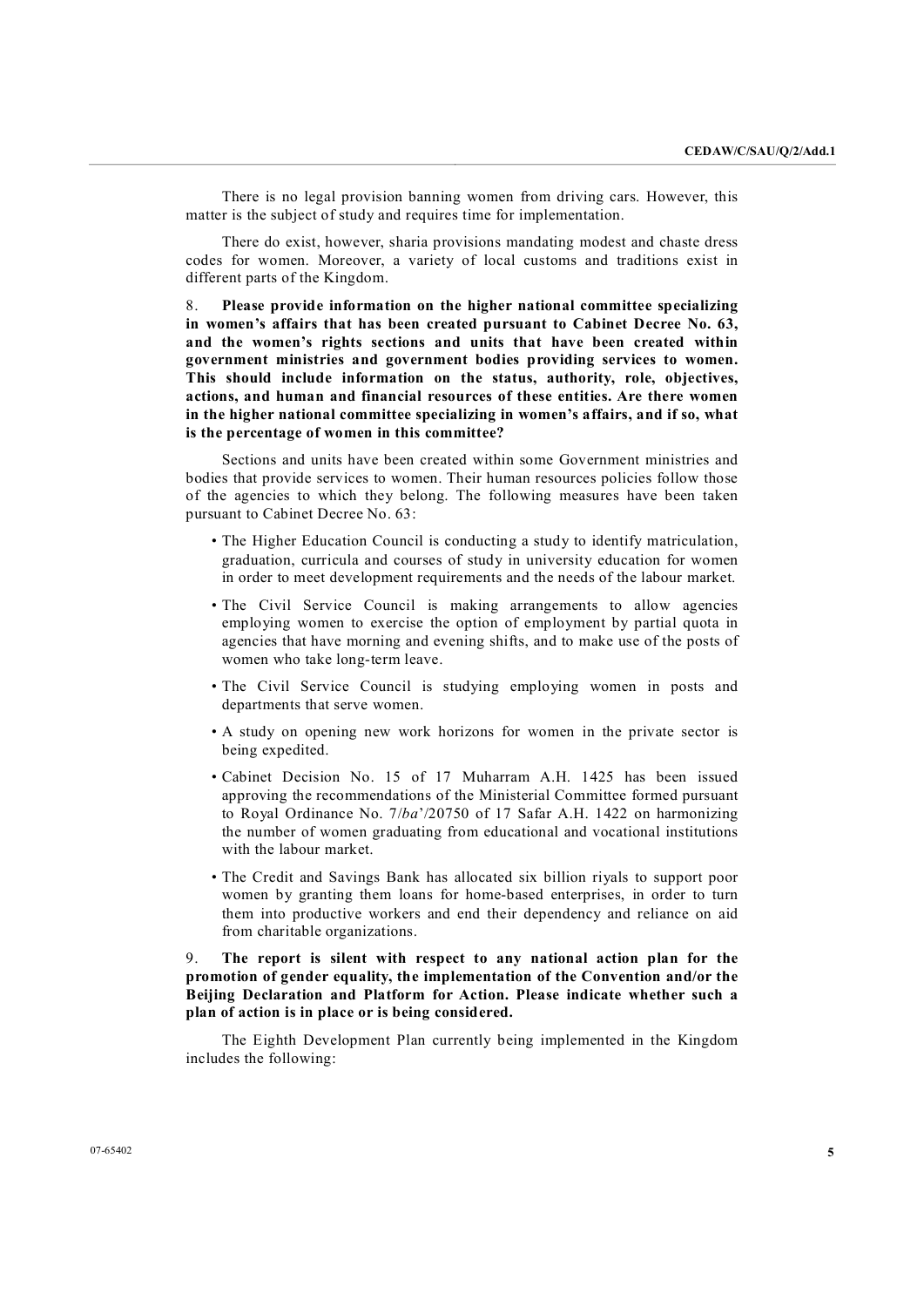There is no legal provision banning women from driving cars. However, this matter is the subject of study and requires time for implementation.

There do exist, however, sharia provisions mandating modest and chaste dress codes for women. Moreover, a variety of local customs and traditions exist in different parts of the Kingdom.

8. **Please provide information on the higher national committee specializing in women's affairs that has been created pursuant to Cabinet Decree No. 63, and the women's rights sections and units that have been created within government ministries and government bodies providing services to women. This should include information on the status, authority, role, objectives, actions, and human and financial resources of these entities. Are there women in the higher national committee specializing in women's affairs, and if so, what is the percentage of women in this committee?**

Sections and units have been created within some Government ministries and bodies that provide services to women. Their human resources policies follow those of the agencies to which they belong. The following measures have been taken pursuant to Cabinet Decree No. 63:

- The Higher Education Council is conducting a study to identify matriculation, graduation, curricula and courses of study in university education for women in order to meet development requirements and the needs of the labour market.
- The Civil Service Council is making arrangements to allow agencies employing women to exercise the option of employment by partial quota in agencies that have morning and evening shifts, and to make use of the posts of women who take long-term leave.
- The Civil Service Council is studying employing women in posts and departments that serve women.
- A study on opening new work horizons for women in the private sector is being expedited.
- Cabinet Decision No. 15 of 17 Muharram A.H. 1425 has been issued approving the recommendations of the Ministerial Committee formed pursuant to Royal Ordinance No. 7/*ba*'/20750 of 17 Safar A.H. 1422 on harmonizing the number of women graduating from educational and vocational institutions with the labour market.
- The Credit and Savings Bank has allocated six billion riyals to support poor women by granting them loans for home-based enterprises, in order to turn them into productive workers and end their dependency and reliance on aid from charitable organizations.

## 9. **The report is silent with respect to any national action plan for the promotion of gender equality, the implementation of the Convention and/or the Beijing Declaration and Platform for Action. Please indicate whether such a plan of action is in place or is being considered.**

The Eighth Development Plan currently being implemented in the Kingdom includes the following: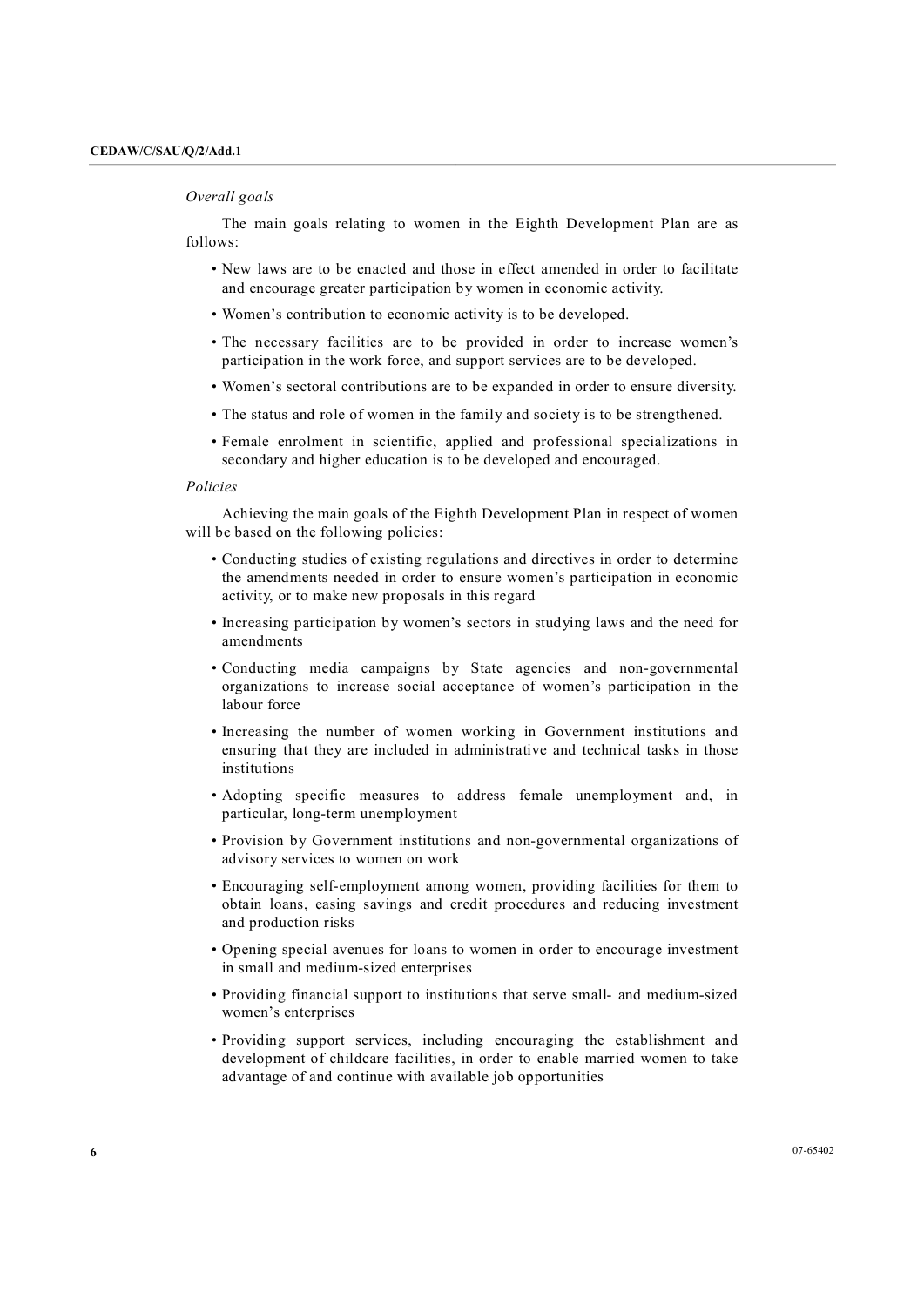## *Overall goals*

The main goals relating to women in the Eighth Development Plan are as follows:

- New laws are to be enacted and those in effect amended in order to facilitate and encourage greater participation by women in economic activity.
- Women's contribution to economic activity is to be developed.
- The necessary facilities are to be provided in order to increase women's participation in the work force, and support services are to be developed.
- Women's sectoral contributions are to be expanded in order to ensure diversity.
- The status and role of women in the family and society is to be strengthened.
- Female enrolment in scientific, applied and professional specializations in secondary and higher education is to be developed and encouraged.

#### *Policies*

Achieving the main goals of the Eighth Development Plan in respect of women will be based on the following policies:

- Conducting studies of existing regulations and directives in order to determine the amendments needed in order to ensure women's participation in economic activity, or to make new proposals in this regard
- Increasing participation by women's sectors in studying laws and the need for amendments
- Conducting media campaigns by State agencies and non-governmental organizations to increase social acceptance of women's participation in the labour force
- Increasing the number of women working in Government institutions and ensuring that they are included in administrative and technical tasks in those institutions
- Adopting specific measures to address female unemployment and, in particular, long-term unemployment
- Provision by Government institutions and non-governmental organizations of advisory services to women on work
- Encouraging self-employment among women, providing facilities for them to obtain loans, easing savings and credit procedures and reducing investment and production risks
- Opening special avenues for loans to women in order to encourage investment in small and medium-sized enterprises
- Providing financial support to institutions that serve small- and medium-sized women's enterprises
- Providing support services, including encouraging the establishment and development of childcare facilities, in order to enable married women to take advantage of and continue with available job opportunities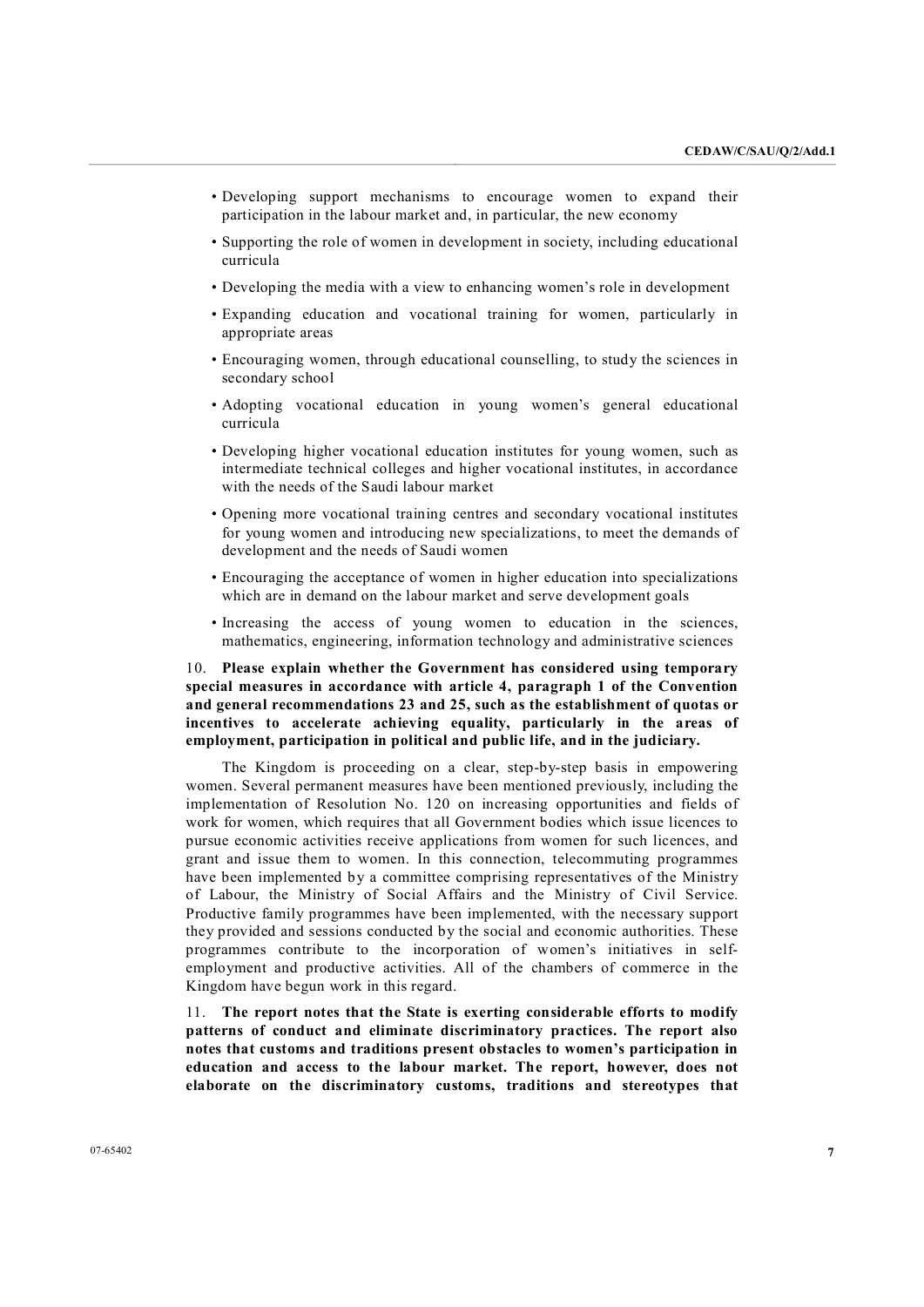- Developing support mechanisms to encourage women to expand their participation in the labour market and, in particular, the new economy
- Supporting the role of women in development in society, including educational curricula
- Developing the media with a view to enhancing women's role in development
- Expanding education and vocational training for women, particularly in appropriate areas
- Encouraging women, through educational counselling, to study the sciences in secondary school
- Adopting vocational education in young women's general educational curricula
- Developing higher vocational education institutes for young women, such as intermediate technical colleges and higher vocational institutes, in accordance with the needs of the Saudi labour market
- Opening more vocational training centres and secondary vocational institutes for young women and introducing new specializations, to meet the demands of development and the needs of Saudi women
- Encouraging the acceptance of women in higher education into specializations which are in demand on the labour market and serve development goals
- Increasing the access of young women to education in the sciences, mathematics, engineering, information technology and administrative sciences

## 10. **Please explain whether the Government has considered using temporary special measures in accordance with article 4, paragraph 1 of the Convention and general recommendations 23 and 25, such as the establishment of quotas or incentives to accelerate achieving equality, particularly in the areas of employment, participation in political and public life, and in the judiciary.**

The Kingdom is proceeding on a clear, step-by-step basis in empowering women. Several permanent measures have been mentioned previously, including the implementation of Resolution No. 120 on increasing opportunities and fields of work for women, which requires that all Government bodies which issue licences to pursue economic activities receive applications from women for such licences, and grant and issue them to women. In this connection, telecommuting programmes have been implemented by a committee comprising representatives of the Ministry of Labour, the Ministry of Social Affairs and the Ministry of Civil Service. Productive family programmes have been implemented, with the necessary support they provided and sessions conducted by the social and economic authorities. These programmes contribute to the incorporation of women's initiatives in self employment and productive activities. All of the chambers of commerce in the Kingdom have begun work in this regard.

11. **The report notes that the State is exerting considerable efforts to modify patterns of conduct and eliminate discriminatory practices. The report also notes that customs and traditions present obstacles to women's participation in education and access to the labour market. The report, however, does not elaborate on the discriminatory customs, traditions and stereotypes that**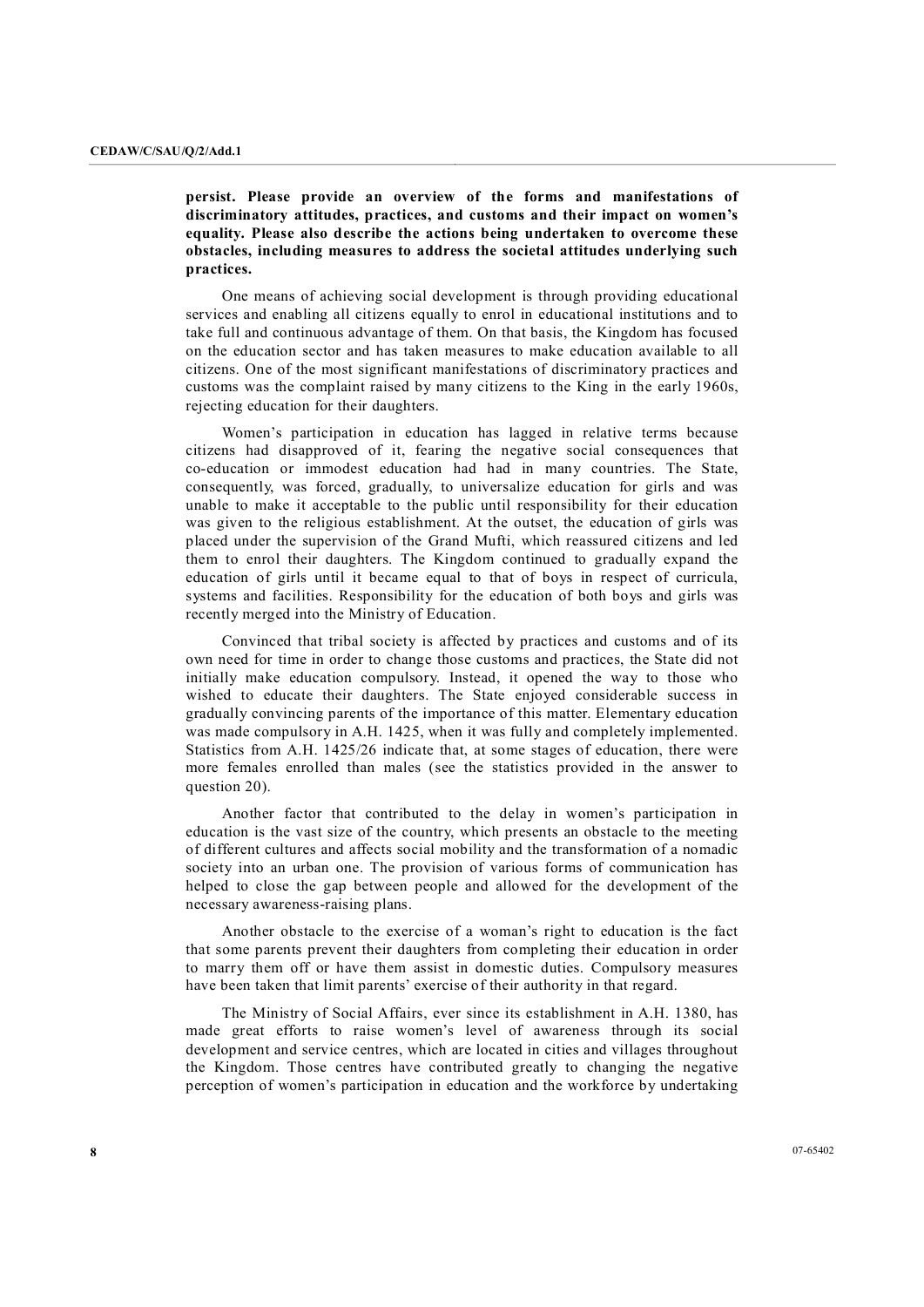**persist. Please provide an overview of the forms and manifestations of discriminatory attitudes, practices, and customs and their impact on women's equality. Please also describe the actions being undertaken to overcome these obstacles, including measures to address the societal attitudes underlying such practices.**

One means of achieving social development is through providing educational services and enabling all citizens equally to enrol in educational institutions and to take full and continuous advantage of them. On that basis, the Kingdom has focused on the education sector and has taken measures to make education available to all citizens. One of the most significant manifestations of discriminatory practices and customs was the complaint raised by many citizens to the King in the early 1960s, rejecting education for their daughters.

Women's participation in education has lagged in relative terms because citizens had disapproved of it, fearing the negative social consequences that co-education or immodest education had had in many countries. The State, consequently, was forced, gradually, to universalize education for girls and was unable to make it acceptable to the public until responsibility for their education was given to the religious establishment. At the outset, the education of girls was placed under the supervision of the Grand Mufti, which reassured citizens and led them to enrol their daughters. The Kingdom continued to gradually expand the education of girls until it became equal to that of boys in respect of curricula, systems and facilities. Responsibility for the education of both boys and girls was recently merged into the Ministry of Education.

Convinced that tribal society is affected by practices and customs and of its own need for time in order to change those customs and practices, the State did not initially make education compulsory. Instead, it opened the way to those who wished to educate their daughters. The State enjoyed considerable success in gradually convincing parents of the importance of this matter. Elementary education was made compulsory in A.H. 1425, when it was fully and completely implemented. Statistics from A.H. 1425/26 indicate that, at some stages of education, there were more females enrolled than males (see the statistics provided in the answer to question 20).

Another factor that contributed to the delay in women's participation in education is the vast size of the country, which presents an obstacle to the meeting of different cultures and affects social mobility and the transformation of a nomadic society into an urban one. The provision of various forms of communication has helped to close the gap between people and allowed for the development of the necessary awareness-raising plans.

Another obstacle to the exercise of a woman's right to education is the fact that some parents prevent their daughters from completing their education in order to marry them off or have them assist in domestic duties. Compulsory measures have been taken that limit parents' exercise of their authority in that regard.

The Ministry of Social Affairs, ever since its establishment in A.H. 1380, has made great efforts to raise women's level of awareness through its social development and service centres, which are located in cities and villages throughout the Kingdom. Those centres have contributed greatly to changing the negative perception of women's participation in education and the workforce by undertaking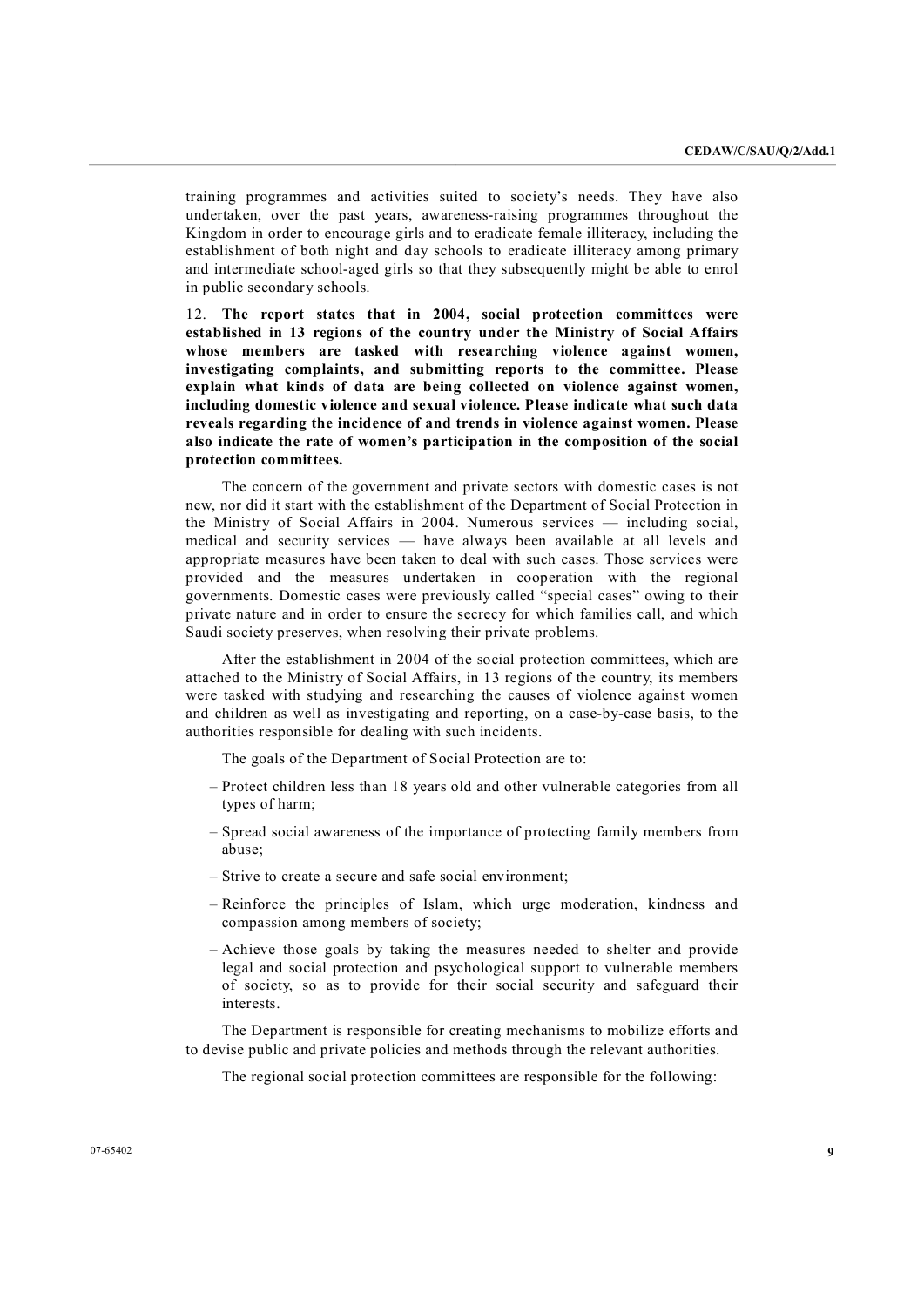training programmes and activities suited to society's needs. They have also undertaken, over the past years, awareness-raising programmes throughout the Kingdom in order to encourage girls and to eradicate female illiteracy, including the establishment of both night and day schools to eradicate illiteracy among primary and intermediate school-aged girls so that they subsequently might be able to enrol in public secondary schools.

12. **The report states that in 2004, social protection committees were established in 13 regions of the country under the Ministry of Social Affairs whose members are tasked with researching violence against women, investigating complaints, and submitting reports to the committee. Please explain what kinds of data are being collected on violence against women, including domestic violence and sexual violence. Please indicate what such data reveals regarding the incidence of and trends in violence against women. Please also indicate the rate of women's participation in the composition of the social protection committees.**

The concern of the government and private sectors with domestic cases is not new, nor did it start with the establishment of the Department of Social Protection in the Ministry of Social Affairs in 2004. Numerous services — including social, medical and security services — have always been available at all levels and appropriate measures have been taken to deal with such cases. Those services were provided and the measures undertaken in cooperation with the regional governments. Domestic cases were previously called "special cases" owing to their private nature and in order to ensure the secrecy for which families call, and which Saudi society preserves, when resolving their private problems.

After the establishment in 2004 of the social protection committees, which are attached to the Ministry of Social Affairs, in 13 regions of the country, its members were tasked with studying and researching the causes of violence against women and children as well as investigating and reporting, on a case-by-case basis, to the authorities responsible for dealing with such incidents.

The goals of the Department of Social Protection are to:

- Protect children less than 18 years old and other vulnerable categories from all types of harm;
- Spread social awareness of the importance of protecting family members from abuse;
- Strive to create a secure and safe social environment;
- Reinforce the principles of Islam, which urge moderation, kindness and compassion among members of society;
- Achieve those goals by taking the measures needed to shelter and provide legal and social protection and psychological support to vulnerable members of society, so as to provide for their social security and safeguard their interests.

The Department is responsible for creating mechanisms to mobilize efforts and to devise public and private policies and methods through the relevant authorities.

The regional social protection committees are responsible for the following: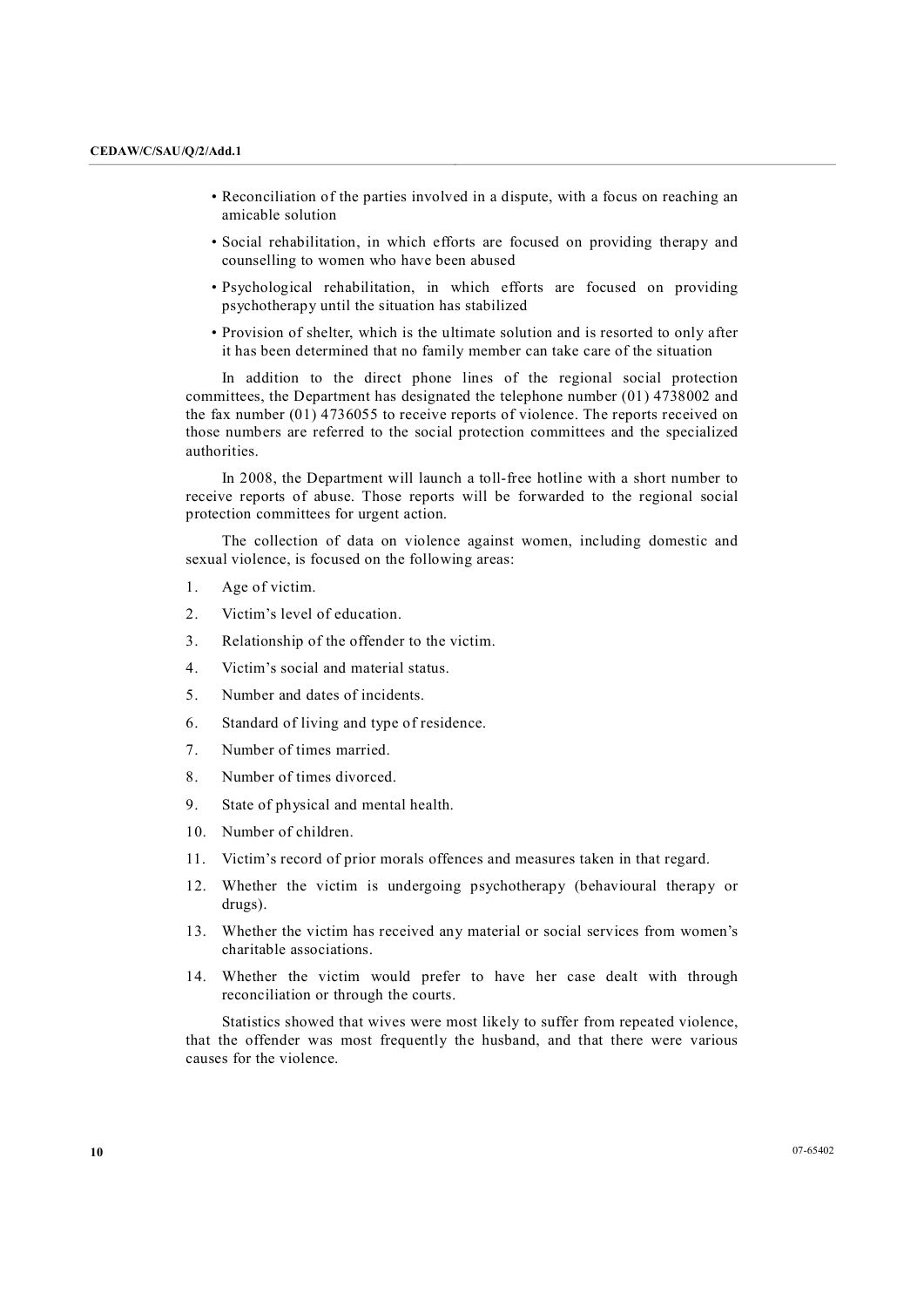- Reconciliation of the parties involved in a dispute, with a focus on reaching an amicable solution
- Social rehabilitation, in which efforts are focused on providing therapy and counselling to women who have been abused
- Psychological rehabilitation, in which efforts are focused on providing psychotherapy until the situation has stabilized
- Provision of shelter, which is the ultimate solution and is resorted to only after it has been determined that no family member can take care of the situation

In addition to the direct phone lines of the regional social protection committees, the Department has designated the telephone number (01) 4738002 and the fax number (01) 4736055 to receive reports of violence. The reports received on those numbers are referred to the social protection committees and the specialized authorities.

In 2008, the Department will launch a toll-free hotline with a short number to receive reports of abuse. Those reports will be forwarded to the regional social protection committees for urgent action.

The collection of data on violence against women, including domestic and sexual violence, is focused on the following areas:

- 1. Age of victim.
- 2. Victim's level of education.
- 3. Relationship of the offender to the victim.
- 4. Victim's social and material status.
- 5. Number and dates of incidents.
- 6. Standard of living and type of residence.
- 7. Number of times married.
- 8. Number of times divorced.
- 9. State of physical and mental health.
- 10. Number of children.
- 11. Victim's record of prior morals offences and measures taken in that regard.
- 12. Whether the victim is undergoing psychotherapy (behavioural therapy or drugs).
- 13. Whether the victim has received any material or social services from women's charitable associations.
- 14. Whether the victim would prefer to have her case dealt with through reconciliation or through the courts.

Statistics showed that wives were most likely to suffer from repeated violence, that the offender was most frequently the husband, and that there were various causes for the violence.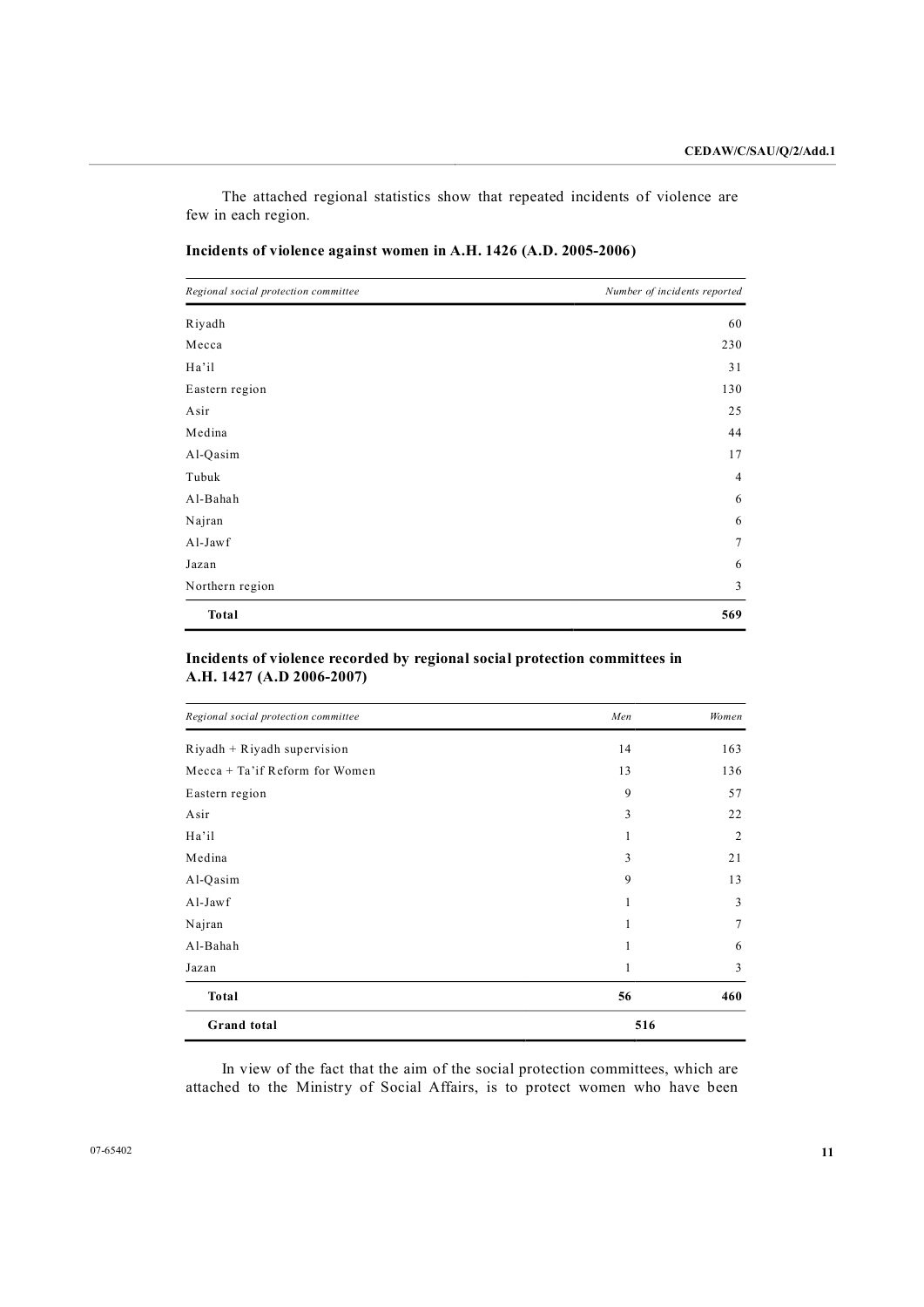The attached regional statistics show that repeated incidents of violence are few in each region.

| Regional social protection committee | Number of incidents reported |
|--------------------------------------|------------------------------|
| Riyadh                               | 60                           |
| Mecca                                | 230                          |
| Ha'il                                | 31                           |
| Eastern region                       | 130                          |
| Asir                                 | 25                           |
| Medina                               | 44                           |
| Al-Qasim                             | 17                           |
| Tubuk                                | 4                            |
| Al-Bahah                             | 6                            |
| Najran                               | 6                            |
| Al-Jawf                              | 7                            |
| Jazan                                | 6                            |
| Northern region                      | 3                            |
| Total                                | 569                          |

## Incidents of violence against women in A.H. 1426 (A.D. 2005-2006)

## **Incidents of violence recorded by regional social protection committees in A.H. 1427 (A.D 20062007)**

| Regional social protection committee | Men | Women          |
|--------------------------------------|-----|----------------|
| $Right + Right$ supervision          | 14  | 163            |
| Mecca $+$ Ta'if Reform for Women     | 13  | 136            |
| Eastern region                       | 9   | 57             |
| Asir                                 | 3   | 22             |
| Ha'il                                |     | $\overline{2}$ |
| Medina                               | 3   | 21             |
| Al-Qasim                             | 9   | 13             |
| Al-Jawf                              | 1   | 3              |
| Najran                               | 1   |                |
| Al-Bahah                             | 1   | 6              |
| Jazan                                | 1   | 3              |
| Total                                | 56  | 460            |
| <b>Grand</b> total                   | 516 |                |

In view of the fact that the aim of the social protection committees, which are attached to the Ministry of Social Affairs, is to protect women who have been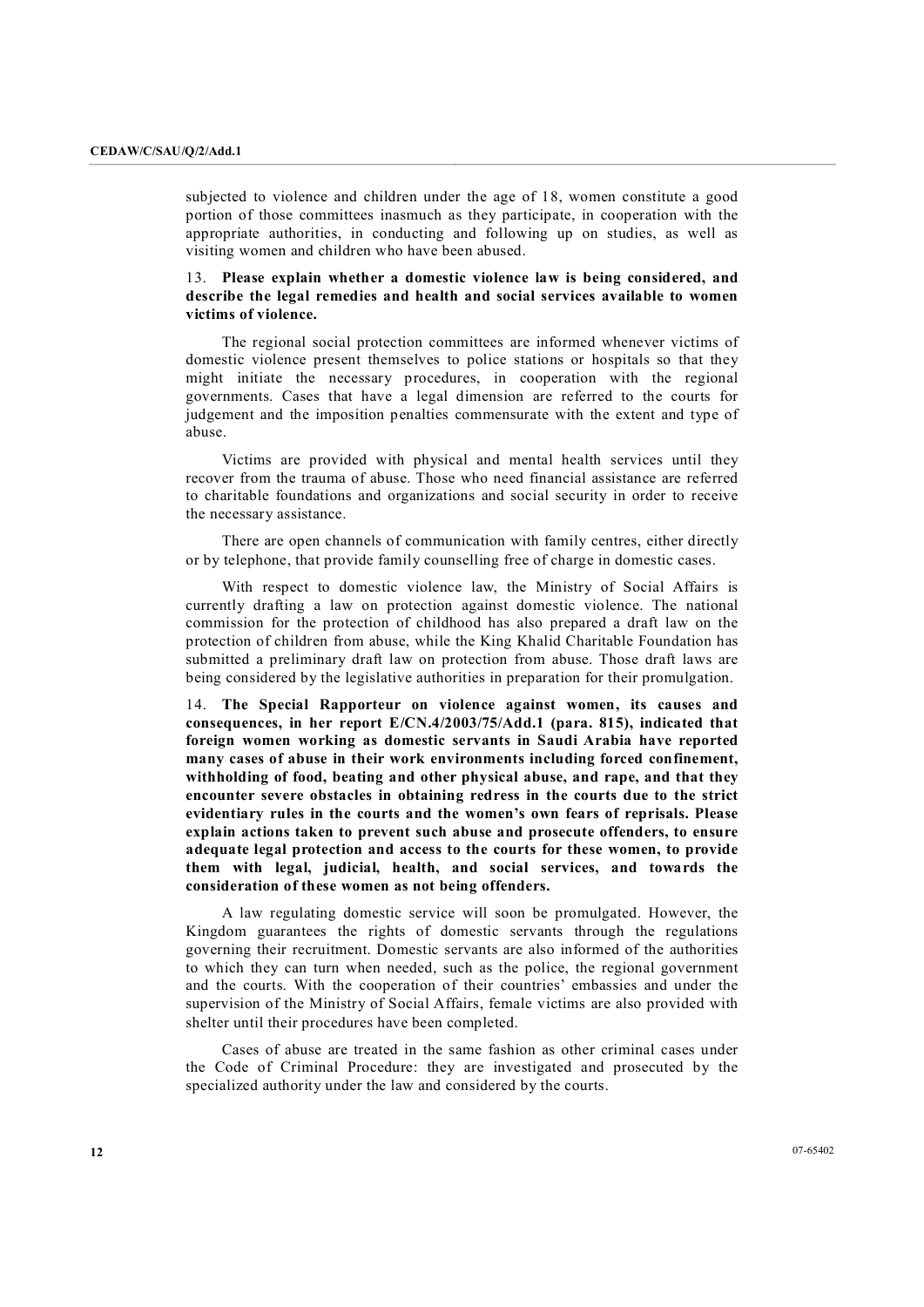subjected to violence and children under the age of 18, women constitute a good portion of those committees inasmuch as they participate, in cooperation with the appropriate authorities, in conducting and following up on studies, as well as visiting women and children who have been abused.

## 13. **Please explain whether a domestic violence law isbeing considered, and describe the legal remedies and health and social services available to women victims of violence.**

The regional social protection committees are informed whenever victims of domestic violence present themselves to police stations or hospitals so that they might initiate the necessary procedures, in cooperation with the regional governments. Cases that have a legal dimension are referred to the courts for judgement and the imposition penalties commensurate with the extent and type of abuse. Victims are provided with physical and mental health services until they

recover from the trauma of abuse. Those who need financial assistance are referred to charitable foundations and organizations and social security in order to receive the necessary assistance.

There are open channels of communication with family centres, either directly or by telephone, that provide family counselling free of charge in domestic cases.

With respect to domestic violence law, the Ministry of Social Affairs is currently drafting a law on protection against domestic violence. The national commission for the protection of childhood has also prepared a draft law on the protection of children from abuse, while the King Khalid Charitable Foundation has submitted a preliminary draft law on protection from abuse. Those draft laws are being considered by the legislative authorities in preparation for their promulgation.

14. **The Special Rapporteur on violence against women, its causes and consequences, in her report E/CN.4/2003/75/Add.1 (para. 815), indicated that foreign women working as domestic servants in Saudi Arabia have reported many cases of abuse in their work environments including forced confinement, withholding of food, beating and other physical abuse, and rape, and that they encounter severe obstacles in obtaining redress in the courts due to the strict evidentiary rules in the courts and the women's own fears of reprisals. Please explain actions taken to prevent such abuse and prosecute offenders, to ensure adequate legal protection and access to the courts for these women, to provide them with legal, judicial, health, and social services, and towards the consideration of these women as not being offenders.**

A law regulating domestic service will soon be promulgated. However, the Kingdom guarantees the rights of domestic servants through the regulations governing their recruitment. Domestic servants are also informed of the authorities to which they can turn when needed, such as the police, the regional government and the courts. With the cooperation of their countries' embassies and under the supervision of the Ministry of Social Affairs, female victims are also provided with shelter until their procedures have been completed.

Cases of abuse are treated in the same fashion as other criminal cases under the Code of Criminal Procedure: they are investigated and prosecuted by the specialized authority under the law and considered by the courts.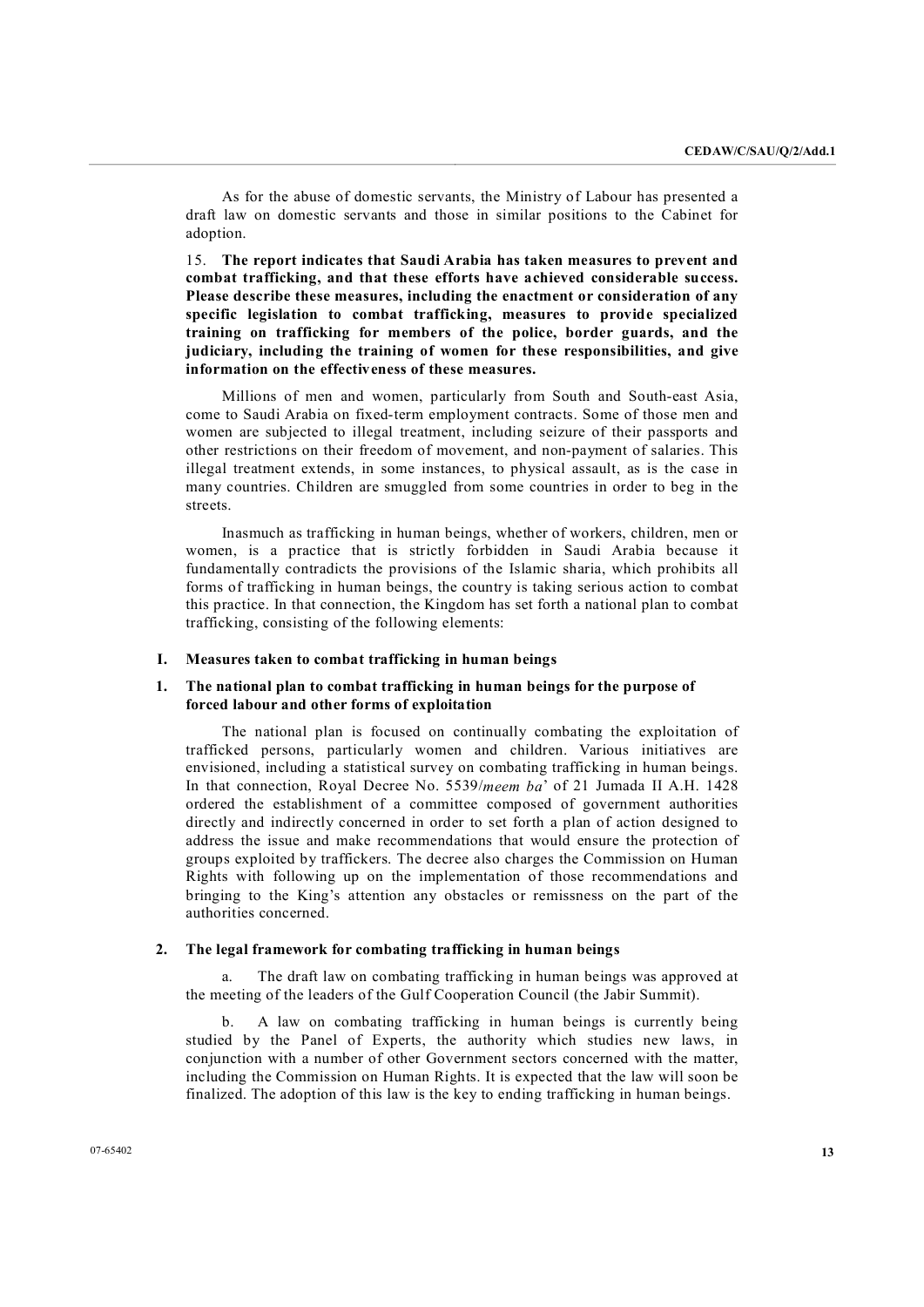As for the abuse of domestic servants, the Ministry of Labour has presented a draft law on domestic servants and those in similar positions to the Cabinet for adoption.

15. **The report indicates that Saudi Arabia has taken measures to prevent and combat trafficking, and that these efforts have achieved considerable success. Please describe these measures, including the enactment or consideration of any specific legislation to combat trafficking, measures to provide specialized training on trafficking for members of the police, border guards, and the judiciary, including the training of women for these responsibilities, and give information on the effectiveness of these measures.**

Millions of men and women, particularly from South and South-east Asia, come to Saudi Arabia on fixed-term employment contracts. Some of those men and women are subjected to illegal treatment, including seizure of their passports and other restrictions on their freedom of movement, and nonpayment of salaries. This illegal treatment extends, in some instances, to physical assault, as is the case in many countries. Children are smuggled from some countries in order to beg in the streets.

Inasmuch as trafficking in human beings, whether of workers, children, men or women, is a practice that is strictly forbidden in Saudi Arabia because it fundamentally contradicts the provisions of the Islamic sharia, which prohibits all forms of trafficking in human beings, the country is taking serious action to combat this practice. In that connection, the Kingdom has set forth a national plan to combat trafficking, consisting of the following elements:

#### **I. Measures taken to combat trafficking in human beings**

## **1. The national plan to combat trafficking in human beings for the purpose of forced labour and other forms of exploitation**

The national plan is focused on continually combating the exploitation of trafficked persons, particularly women and children. Various initiatives are envisioned, including a statistical survey on combating trafficking in human beings. In that connection, Royal Decree No. 5539/*meem ba*' of 21 Jumada II A.H. 1428 ordered the establishment of a committee composed of government authorities directly and indirectly concerned in order to set forth a plan of action designed to address the issue and make recommendations that would ensure the protection of groups exploited by traffickers. The decree also charges the Commission on Human Rights with following up on the implementation of those recommendations and bringing to the King's attention any obstacles or remissness on the part of the authorities concerned.

#### **2. The legal framework for combating trafficking in human beings**

a. The draft law on combating trafficking in human beings was approved at the meeting of the leaders of the Gulf Cooperation Council (the Jabir Summit).

b. A law on combating trafficking in human beings is currently being studied by the Panel of Experts, the authority which studies new laws, in conjunction with a number of other Government sectors concerned with the matter, including the Commission on Human Rights. It is expected that the law will soon be finalized. The adoption of this law is the key to ending trafficking in human beings.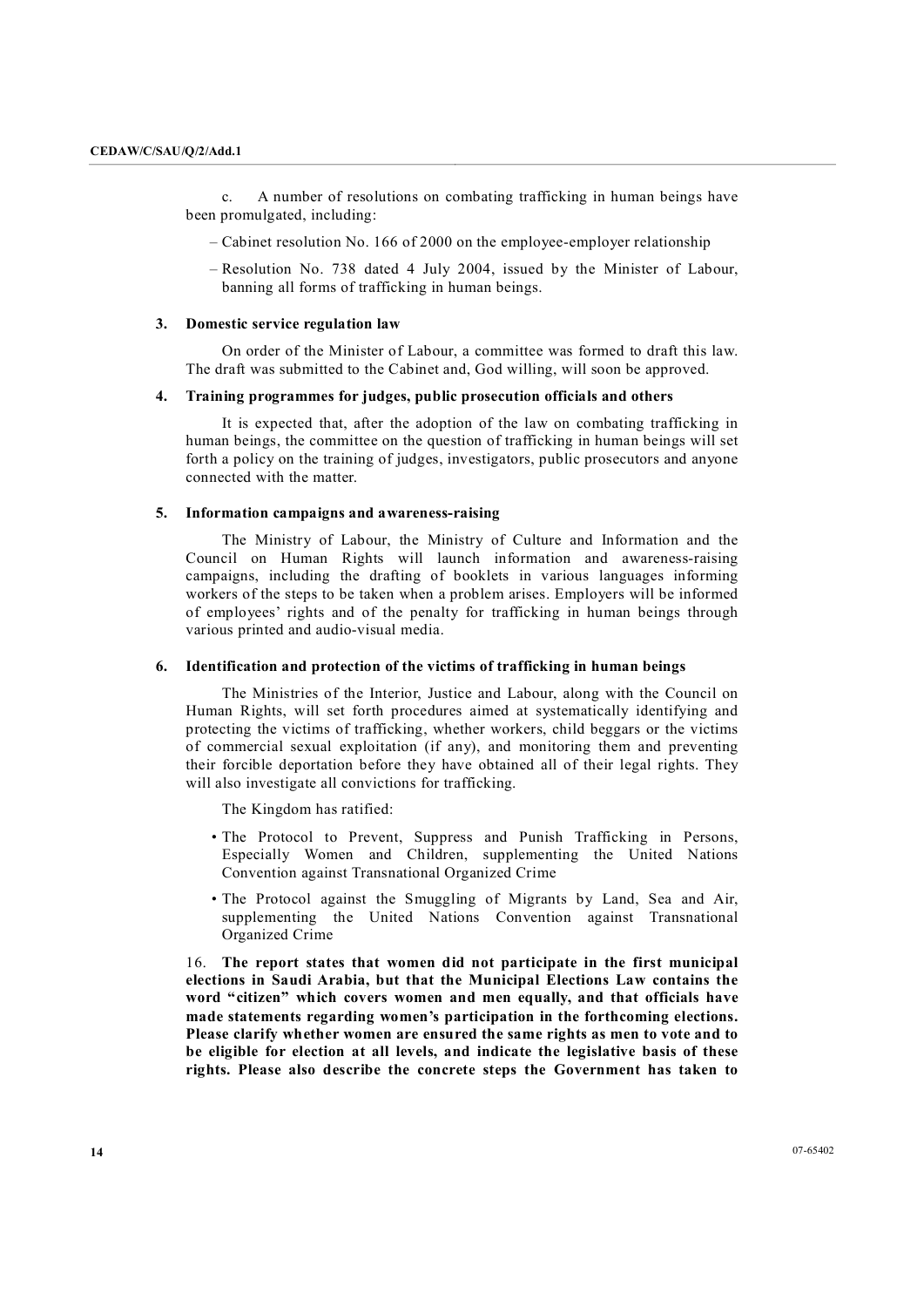c. A number of resolutions on combating trafficking in human beings have been promulgated, including:

 $-$  Cabinet resolution No. 166 of 2000 on the employee-employer relationship

– Resolution No. 738 dated 4 July 2004, issued by the Minister of Labour, banning all forms of trafficking in human beings.

#### **3. Domestic service regulation law**

On order of the Minister of Labour, a committee was formed to draft this law. The draft was submitted to the Cabinet and, God willing, will soon be approved.

#### **4. Training programmes for judges, public prosecution officials and others**

It is expected that, after the adoption of the law on combating trafficking in human beings, the committee on the question of trafficking in human beings will set forth a policy on the training of judges, investigators, public prosecutors and anyone connected with the matter.

#### **5. Information campaigns and awarenessraising**

The Ministry of Labour, the Ministry of Culture and Information and the Council on Human Rights will launch information and awareness-raising campaigns, including the drafting of booklets in various languages informing workers of the steps to be taken when a problem arises. Employers will be informed of employees' rights and of the penalty for trafficking in human beings through various printed and audio-visual media.

#### **6. Identification and protection of the victims of trafficking in human beings**

The Ministries of the Interior, Justice and Labour, along with the Council on Human Rights, will set forth procedures aimed at systematically identifying and protecting the victims of trafficking, whether workers, child beggars or the victims of commercial sexual exploitation (if any), and monitoring them and preventing their forcible deportation before they have obtained all of their legal rights. They will also investigate all convictions for trafficking.

The Kingdom has ratified:

- The Protocol to Prevent, Suppress and Punish Trafficking in Persons, Especially Women and Children, supplementing the United Nations Convention against Transnational Organized Crime
- The Protocol against the Smuggling of Migrants by Land, Sea and Air, supplementing the United Nations Convention against Transnational Organized Crime

16. **The report states that women did not participate in the first municipal elections in Saudi Arabia, but that the Municipal Elections Law contains the word "citizen" which covers women and men equally, and that officials have made statements regarding women's participation in the forthcoming elections. Please clarify whether women are ensured the same rights as men to vote and to be eligible for election at all levels, and indicate the legislative basis of these rights. Please also describe the concrete steps the Government has taken to**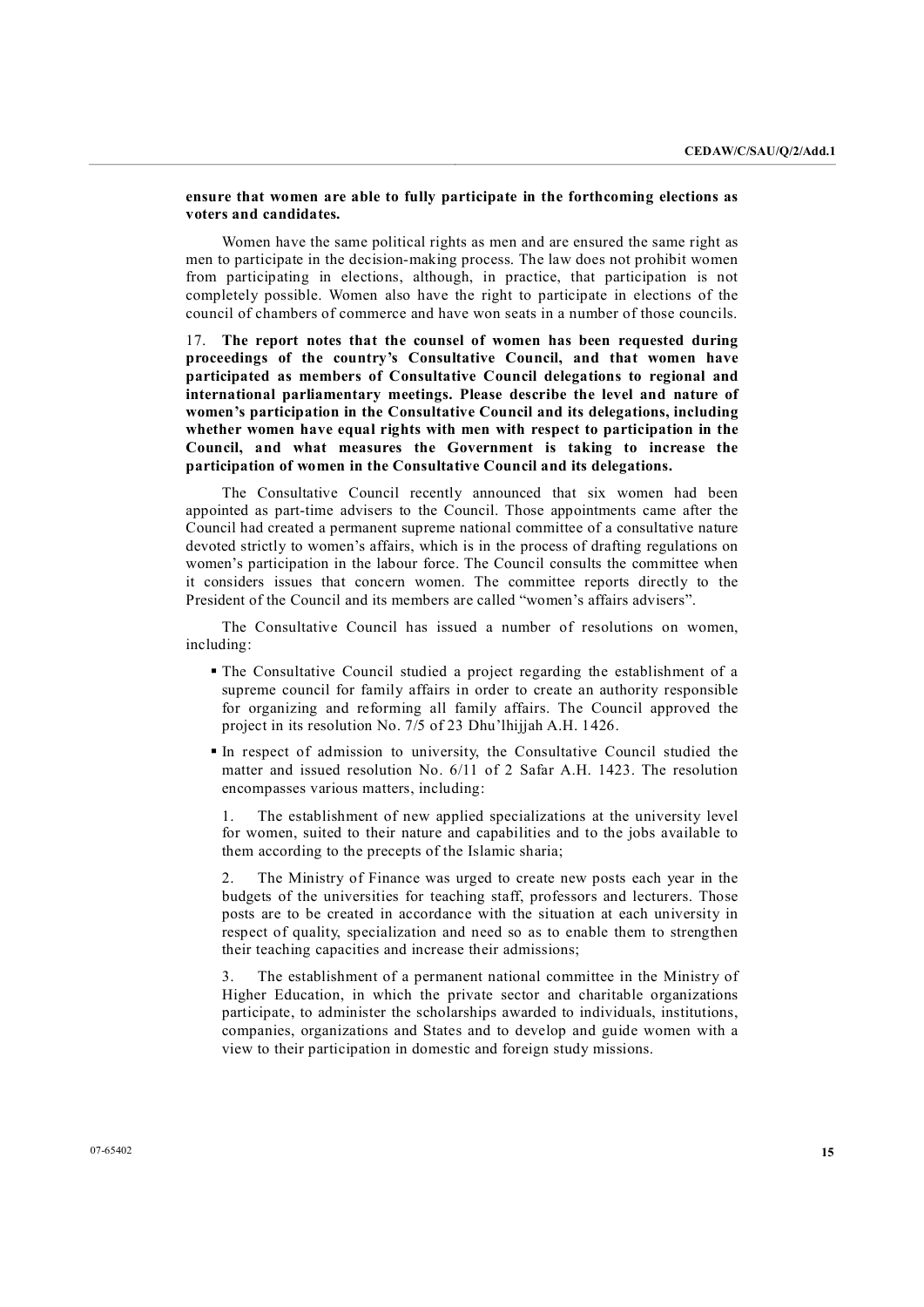## **ensure that women are able to fully participate in the forthcoming elections as voters and candidates.**

Women have the same political rights as men and are ensured the same right as men to participate in the decision-making process. The law does not prohibit women from participating in elections, although, in practice, that participation is not completely possible. Women also have the right to participate in elections of the council of chambers of commerce and have won seats in a number of those councils.

17. **The report notes that the counsel of women has been requested during proceedings of the country's Consultative Council, and that women have participated as members of Consultative Council delegations to regional and international parliamentary meetings. Please describe the level and nature of women's participation in the Consultative Council and its delegations, including whether women have equal rights with men with respect to participation in the Council, and what measures the Government is taking to increase the participation of women in the Consultative Council and its delegations.**

The Consultative Council recently announced that six women had been appointed as part-time advisers to the Council. Those appointments came after the Council had created a permanent supreme national committee of a consultative nature devoted strictly to women's affairs, which is in the process of drafting regulations on women's participation in the labour force. The Council consults the committee when it considers issues that concern women. The committee reports directly to the President of the Council and its members are called "women's affairs advisers".

The Consultative Council has issued a number of resolutions on women, including:

- ß The Consultative Council studied a project regarding the establishment of a supreme council for family affairs in order to create an authority responsible for organizing and reforming all family affairs. The Council approved the project in its resolution No. 7/5 of 23 Dhu'lhijjah A.H. 1426.
- ß In respect of admission to university, the Consultative Council studied the matter and issued resolution No. 6/11 of 2 Safar A.H. 1423. The resolution encompasses various matters, including:

1. The establishment of new applied specializations at the university level for women, suited to their nature and capabilities and to the jobs available to them according to the precepts of the Islamic sharia;

2. The Ministry of Finance was urged to create new posts each year in the budgets of the universities for teaching staff, professors and lecturers. Those posts are to be created in accordance with the situation at each university in respect of quality, specialization and need so as to enable them to strengthen their teaching capacities and increase their admissions;

3. The establishment of a permanent national committee in the Ministry of Higher Education, in which the private sector and charitable organizations participate, to administer the scholarships awarded to individuals, institutions, companies, organizations and States and to develop and guide women with a view to their participation in domestic and foreign study missions.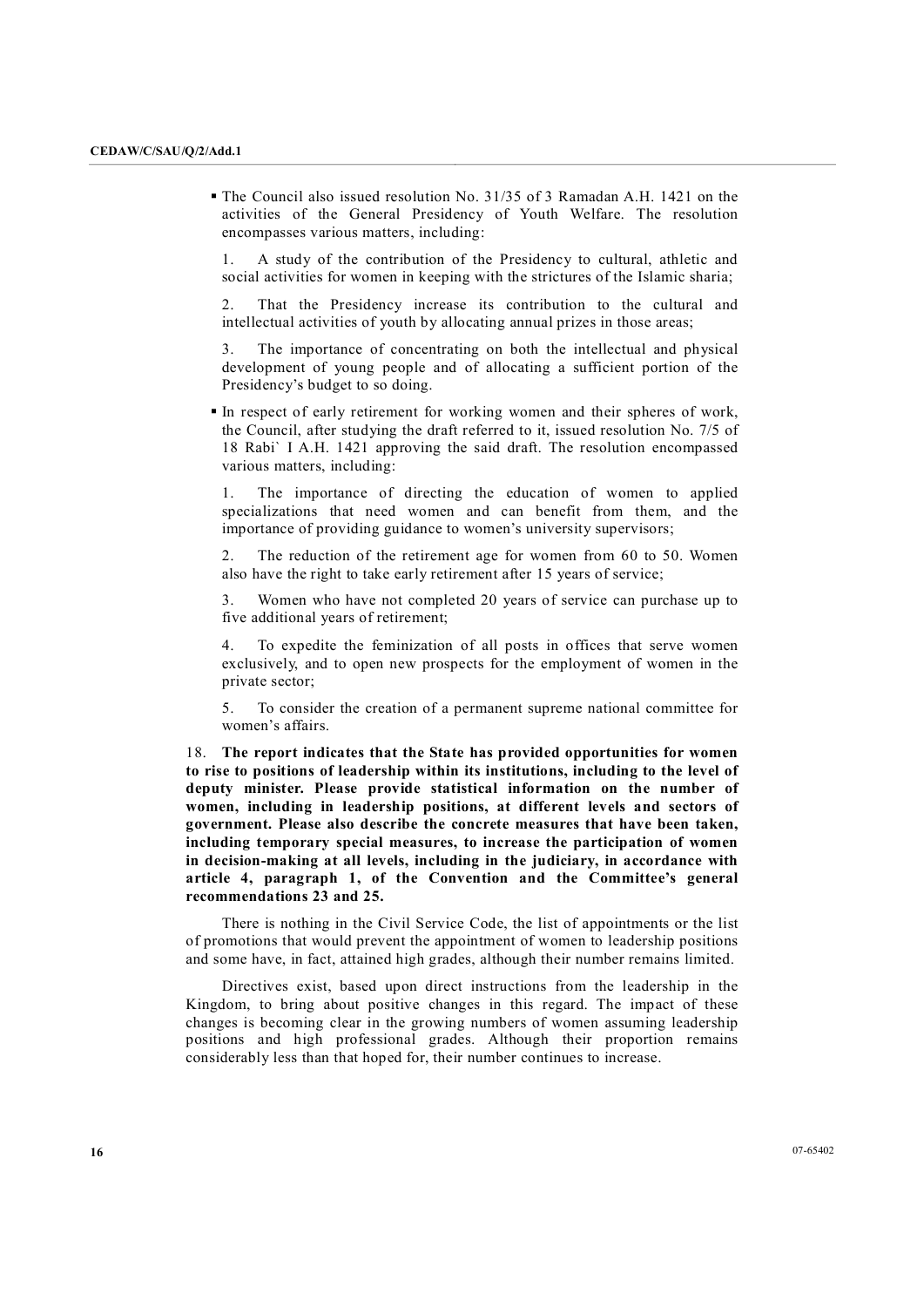• The Council also issued resolution No. 31/35 of 3 Ramadan A.H. 1421 on the activities of the General Presidency of Youth Welfare. The resolution encompasses various matters, including:

1. A study of the contribution of the Presidency to cultural, athletic and social activities for women in keeping with the strictures of the Islamic sharia;

2. That the Presidency increase its contribution to the cultural and intellectual activities of youth by allocating annual prizes in those areas;

3. The importance of concentrating on both the intellectual and physical development of young people and of allocating a sufficient portion of the Presidency's budget to so doing.

In respect of early retirement for working women and their spheres of work, the Council, after studying the draft referred to it, issued resolution No. 7/5 of 18 Rabi` I A.H. 1421 approving the said draft. The resolution encompassed various matters, including:

1. The importance of directing the education of women to applied specializations that need women and can benefit from them, and the importance of providing guidance to women's university supervisors;

2. The reduction of the retirement age for women from 60 to 50. Women also have the right to take early retirement after 15 years of service;

3. Women who have not completed 20 years of service can purchase up to five additional years of retirement;

4. To expedite the feminization of all posts in offices that serve women exclusively, and to open new prospects for the employment of women in the private sector;

5. To consider the creation of a permanent supreme national committee for women's affairs.

18. **The report indicates that the State has provided opportunities for women to rise to positions of leadership within its institutions, including to the level of deputy minister. Please provide statistical information on the number of women, including in leadership positions, at different levels and sectors of government. Please also describe the concrete measures that have been taken, including temporary special measures, to increase the participation of women**  in decision-making at all levels, including in the judiciary, in accordance with **article 4, paragraph 1, of the Convention and the Committee's general recommendations 23 and 25.**

There is nothing in the Civil Service Code, the list of appointments or the list of promotions that would prevent the appointment of women to leadership positions and some have, in fact, attained high grades, although their number remains limited.

Directives exist, based upon direct instructions from the leadership in the Kingdom, to bring about positive changes in this regard. The impact of these changes is becoming clear in the growing numbers of women assuming leadership positions and high professional grades. Although their proportion remains considerably less than that hoped for, their number continues to increase.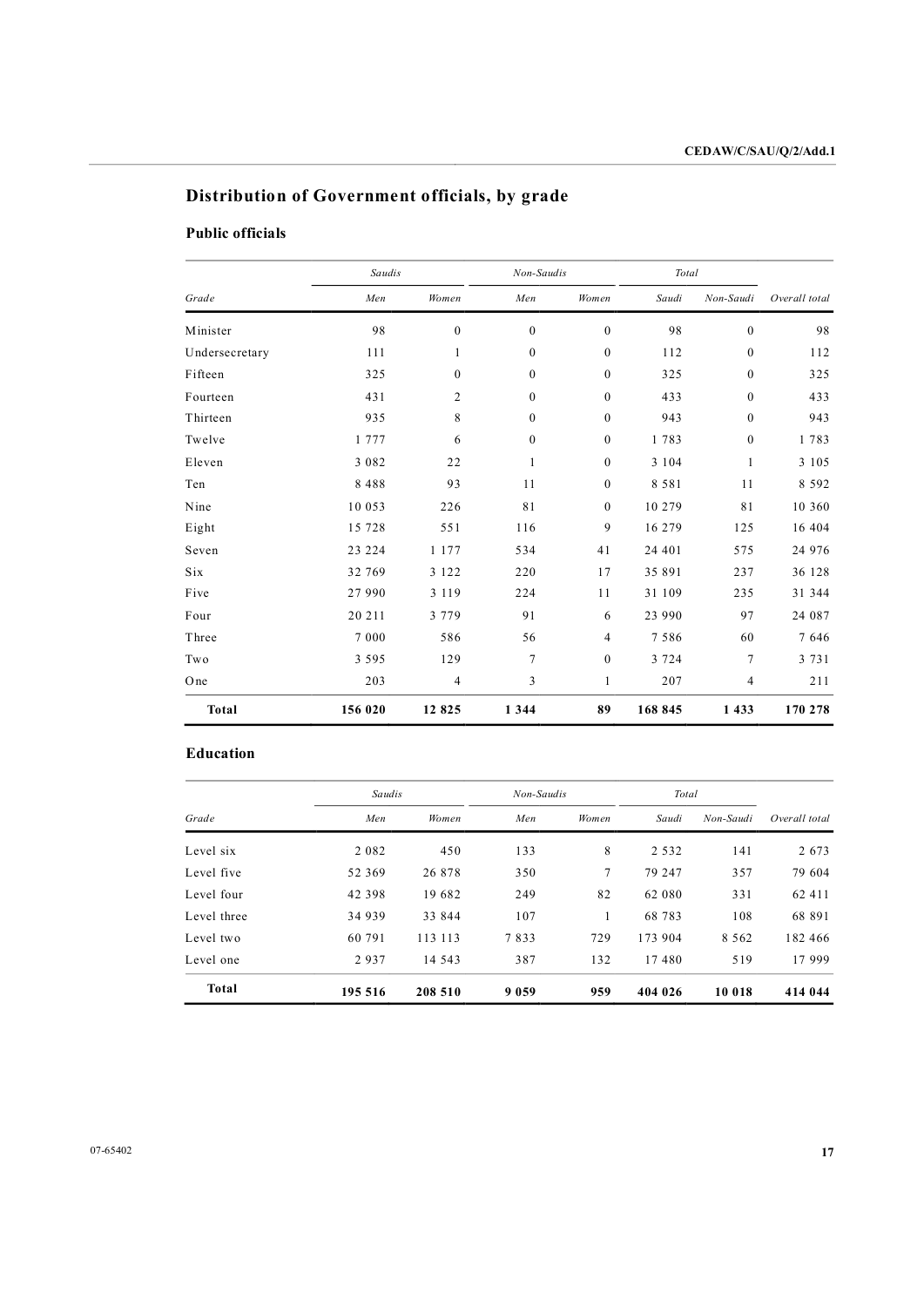# **Distribution of Government officials, by grade**

# **Public officials**

|                | Saudis  |              | Non-Saudis       |                  | Total   |                  |               |
|----------------|---------|--------------|------------------|------------------|---------|------------------|---------------|
| Grade          | Men     | Women        | Men              | Women            | Saudi   | Non-Saudi        | Overall total |
| Minister       | 98      | $\mathbf{0}$ | $\mathbf{0}$     | $\mathbf{0}$     | 98      | $\mathbf{0}$     | 98            |
| Undersecretary | 111     | 1            | $\mathbf{0}$     | $\boldsymbol{0}$ | 112     | $\boldsymbol{0}$ | 112           |
| Fifteen        | 325     | $\mathbf{0}$ | $\boldsymbol{0}$ | $\boldsymbol{0}$ | 325     | $\boldsymbol{0}$ | 325           |
| Fourteen       | 431     | 2            | $\boldsymbol{0}$ | $\boldsymbol{0}$ | 433     | $\boldsymbol{0}$ | 433           |
| Thirteen       | 935     | 8            | $\mathbf{0}$     | $\mathbf{0}$     | 943     | $\mathbf{0}$     | 943           |
| Twelve         | 1 7 7 7 | 6            | $\mathbf{0}$     | $\mathbf{0}$     | 1783    | $\mathbf{0}$     | 1783          |
| Eleven         | 3 0 8 2 | 22           | $\mathbf{1}$     | $\boldsymbol{0}$ | 3 1 0 4 | $\mathbf{1}$     | 3 1 0 5       |
| Ten            | 8 4 8 8 | 93           | 11               | $\mathbf{0}$     | 8 5 8 1 | 11               | 8 5 9 2       |
| Nine           | 10 053  | 226          | 81               | $\boldsymbol{0}$ | 10 279  | 81               | 10 360        |
| Eight          | 15 728  | 551          | 116              | 9                | 16 279  | 125              | 16 404        |
| Seven          | 23 224  | 1 177        | 534              | 41               | 24 401  | 575              | 24 976        |
| Six            | 32 769  | 3 1 2 2      | 220              | 17               | 35 891  | 237              | 36 128        |
| Five           | 27 990  | 3 1 1 9      | 224              | 11               | 31 109  | 235              | 31 344        |
| Four           | 20 211  | 3 7 7 9      | 91               | 6                | 23 990  | 97               | 24 087        |
| Three          | 7 0 0 0 | 586          | 56               | 4                | 7586    | 60               | 7 646         |
| Two            | 3 5 9 5 | 129          | 7                | $\mathbf{0}$     | 3 7 2 4 | 7                | 3 7 3 1       |
| One            | 203     | 4            | 3                | 1                | 207     | 4                | 211           |
| Total          | 156 020 | 12 825       | 1 3 4 4          | 89               | 168 845 | 1 4 3 3          | 170 278       |

## **Education**

|             |          | Saudis  |         | Non-Saudis      |         | Total     |               |
|-------------|----------|---------|---------|-----------------|---------|-----------|---------------|
| Grade       | Men      | Women   | Men     | Women           | Saudi   | Non-Saudi | Overall total |
| Level six   | 2 0 8 2  | 450     | 133     | 8               | 2 5 3 2 | 141       | 2 6 7 3       |
| Level five  | 52 369   | 26 878  | 350     | $7\phantom{.0}$ | 79 247  | 357       | 79 604        |
| Level four  | 42 3 9 8 | 19682   | 249     | 82              | 62 080  | 331       | 62 4 1 1      |
| Level three | 34 939   | 33 844  | 107     | 1               | 68 783  | 108       | 68 891        |
| Level two   | 60 791   | 113 113 | 7833    | 729             | 173 904 | 8 5 6 2   | 182 466       |
| Level one   | 2937     | 14 543  | 387     | 132             | 17480   | 519       | 17 999        |
| Total       | 195 516  | 208 510 | 9 0 5 9 | 959             | 404 026 | 10 018    | 414 044       |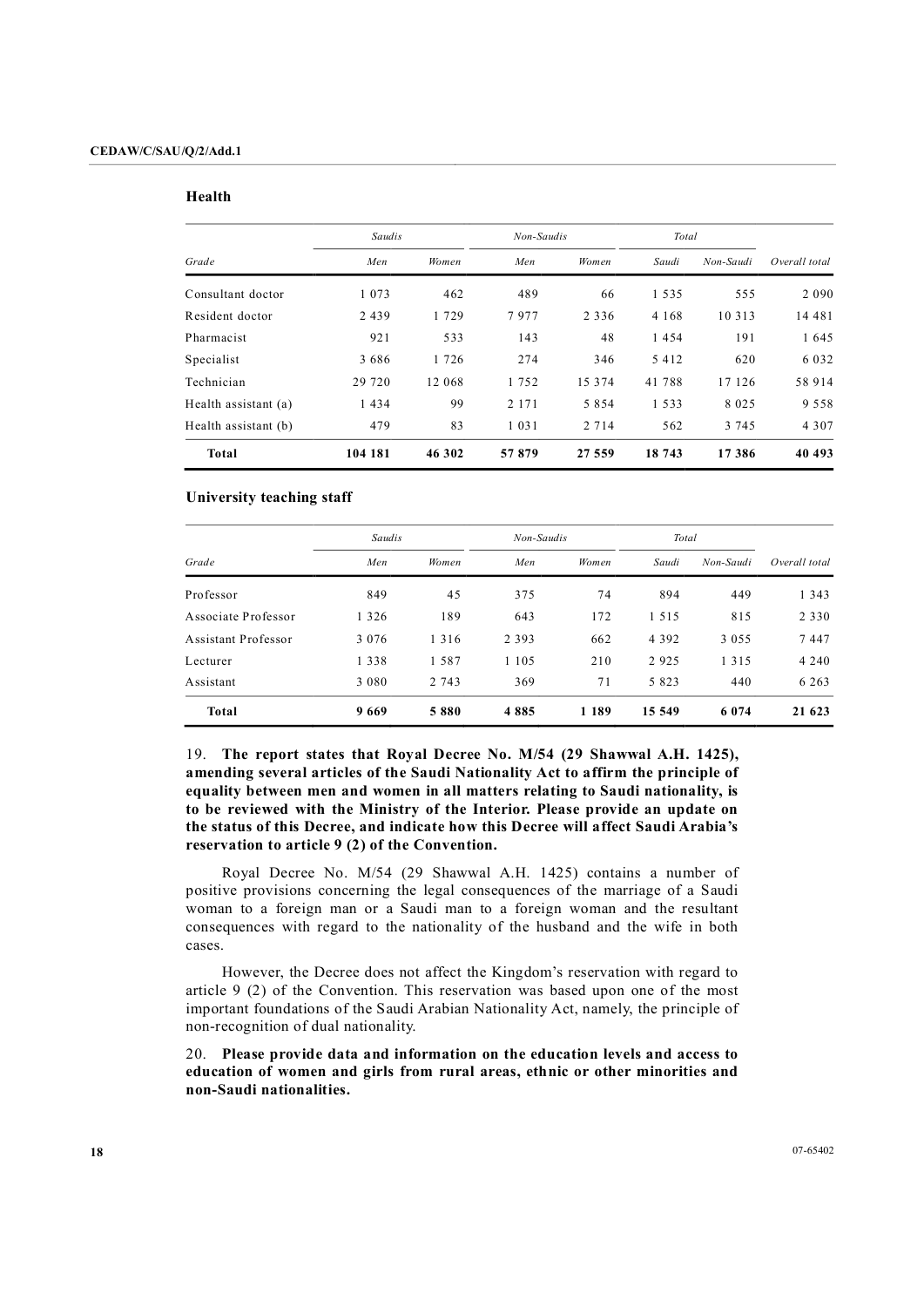#### **Health**

|                      | Saudis  |         | Non-Saudis |          | Total   |           |               |
|----------------------|---------|---------|------------|----------|---------|-----------|---------------|
| Grade                | Men     | Women   | Men        | Women    | Saudi   | Non-Saudi | Overall total |
| Consultant doctor    | 1 0 7 3 | 462     | 489        | 66       | 1535    | 555       | 2 0 9 0       |
| Resident doctor      | 2439    | 1729    | 7977       | 2 3 3 6  | 4 1 6 8 | 10 3 1 3  | 14 48 1       |
| Pharmacist           | 921     | 533     | 143        | 48       | 1454    | 191       | 1 645         |
| Specialist           | 3686    | 1 7 2 6 | 274        | 346      | 5 4 1 2 | 620       | 6 0 3 2       |
| Technician           | 29 7 20 | 12 068  | 1752       | 15 3 7 4 | 41 788  | 17 126    | 58 914        |
| Health assistant (a) | 1434    | 99      | 2 1 7 1    | 5854     | 1533    | 8 0 2 5   | 9 5 5 8       |
| Health assistant (b) | 479     | 83      | 1 0 3 1    | 2 7 1 4  | 562     | 3 7 4 5   | 4 3 0 7       |
| Total                | 104 181 | 46 302  | 57879      | 27 559   | 18 743  | 17386     | 40 493        |

### **University teaching staff**

|                     | Saudis  |         | Non-Saudis |       | Total   |           |               |
|---------------------|---------|---------|------------|-------|---------|-----------|---------------|
| Grade               | Men     | Women   | Men        | Women | Saudi   | Non-Saudi | Overall total |
| Professor           | 849     | 45      | 375        | 74    | 894     | 449       | 1 3 4 3       |
| Associate Professor | 1 3 2 6 | 189     | 643        | 172   | 1 5 1 5 | 815       | 2 3 3 0       |
| Assistant Professor | 3 0 7 6 | 1 3 1 6 | 2 3 9 3    | 662   | 4 3 9 2 | 3 0 5 5   | 7447          |
| Lecturer            | 1 3 3 8 | 1587    | 1 1 0 5    | 210   | 2 9 2 5 | 1 3 1 5   | 4 2 4 0       |
| Assistant           | 3 0 8 0 | 2 743   | 369        | 71    | 5 8 2 3 | 440       | 6 2 6 3       |
| Total               | 9669    | 5880    | 4885       | 1 189 | 15 549  | 6074      | 21 623        |

19. **The report states that Royal Decree No. M/54 (29 Shawwal A.H. 1425), amending several articles of the Saudi Nationality Act to affirm the principle of equality between men and women in all matters relating to Saudi nationality, is to be reviewed with the Ministry of the Interior. Please provide an update on the status of this Decree, and indicate how this Decree will affect Saudi Arabia's reservation to article 9 (2) of the Convention.**

Royal Decree No. M/54 (29 Shawwal A.H. 1425) contains a number of positive provisions concerning the legal consequences of the marriage of a Saudi woman to a foreign man or a Saudi man to a foreign woman and the resultant consequences with regard to the nationality of the husband and the wife in both cases. However, the Decree does not affect the Kingdom's reservation with regard to

article 9 (2) of the Convention. This reservation was based upon one of the most important foundations of the Saudi Arabian Nationality Act, namely, the principle of non-recognition of dual nationality.

20. **Please provide data and information on the education levels and access to education of women and girls from rural areas, ethnic or other minorities and nonSaudi nationalities.**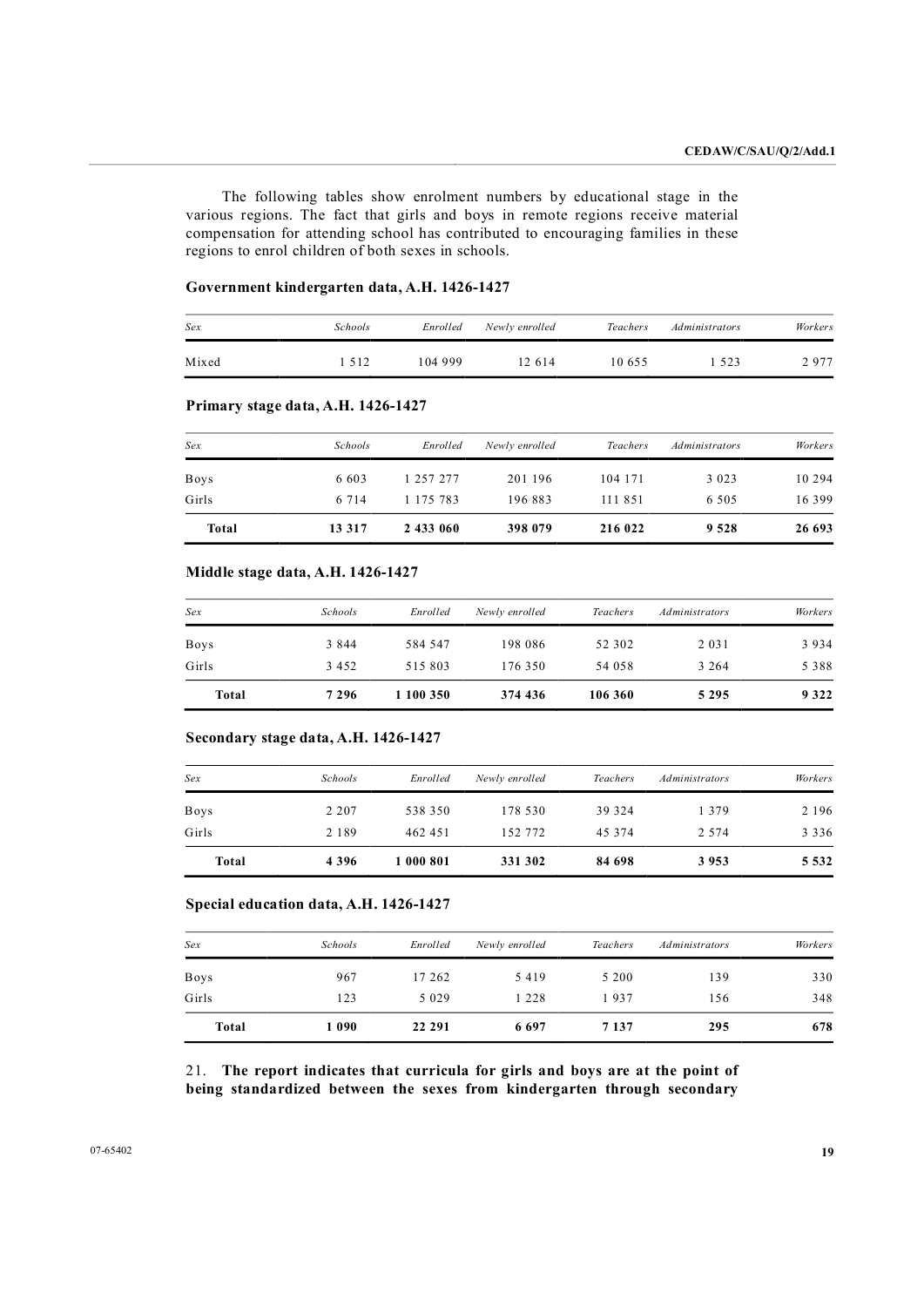The following tables show enrolment numbers by educational stage in the various regions. The fact that girls and boys in remote regions receive material compensation for attending school has contributed to encouraging families in these regions to enrol children of both sexes in schools.

## Government kindergarten data, A.H. 1426-1427

| Sex   | <i>Schools</i> | Enrolled | Newly enrolled | <b>Teachers</b> | <i>Administrators</i> | Workers |
|-------|----------------|----------|----------------|-----------------|-----------------------|---------|
| Mixed | 512            | 104 999  | 12 614         | 10655           | 523                   | 2977    |

## **Primary stage data, A.H. 1426-1427**

| Sex         | <b>Schools</b> | Enrolled      | Newly enrolled | <i>Teachers</i> | Administrators | Workers  |
|-------------|----------------|---------------|----------------|-----------------|----------------|----------|
| <b>Boys</b> | 6 603          | 1 257 277     | 201 196        | 104 171         | 3 0 2 3        | 10 2 9 4 |
| Girls       | 6 7 1 4        | 1 1 7 5 7 8 3 | 196 883        | 111 851         | 6 5 0 5        | 16 3 9 9 |
| Total       | 13 317         | 2 433 060     | 398 079        | 216 022         | 9 5 2 8        | 26 693   |

## **Middle stage** data, A.H. 1426-1427

| Sex         | <b>Schools</b> | Enrolled  | Newly enrolled | Teachers | <i>Administrators</i> | Workers |
|-------------|----------------|-----------|----------------|----------|-----------------------|---------|
| <b>Boys</b> | 3 8 4 4        | 584 547   | 198 086        | 52 302   | 2 0 3 1               | 3934    |
| Girls       | 3 4 5 2        | 515803    | 176 350        | 54 058   | 3 2 6 4               | 5 3 8 8 |
| Total       | 7 2 9 6        | 1 100 350 | 374 436        | 106 360  | 5 2 9 5               | 9 3 2 2 |

## **Secondary stage data, A.H. 1426-1427**

| Sex         | <b>Schools</b> | Enrolled  | Newly enrolled | Teachers | <i>Administrators</i> | Workers |
|-------------|----------------|-----------|----------------|----------|-----------------------|---------|
| <b>Boys</b> | 2 2 0 7        | 538 350   | 178 530        | 39 324   | 1 3 7 9               | 2 1 9 6 |
| Girls       | 2 1 8 9        | 462 451   | 152 772        | 45 374   | 2 5 7 4               | 3 3 3 6 |
| Total       | 4 3 9 6        | 1 000 801 | 331 302        | 84 698   | 3953                  | 5 5 3 2 |

#### **Special education data, A.H. 1426-1427**

| Sex         | <b>Schools</b> | Enrolled | Newly enrolled | Teachers | <i>Administrators</i> | Workers |
|-------------|----------------|----------|----------------|----------|-----------------------|---------|
| <b>Boys</b> | 967            | 17 262   | 5419           | 5 2 0 0  | 139                   | 330     |
| Girls       | 123            | 5 0 2 9  | 1 2 2 8        | 1937     | 156                   | 348     |
| Total       | 1090           | 22 29 1  | 6697           | 7 1 3 7  | 295                   | 678     |

21. **The report indicates that curricula for girls and boys are at the point of being standardized between the sexes from kindergarten through secondary**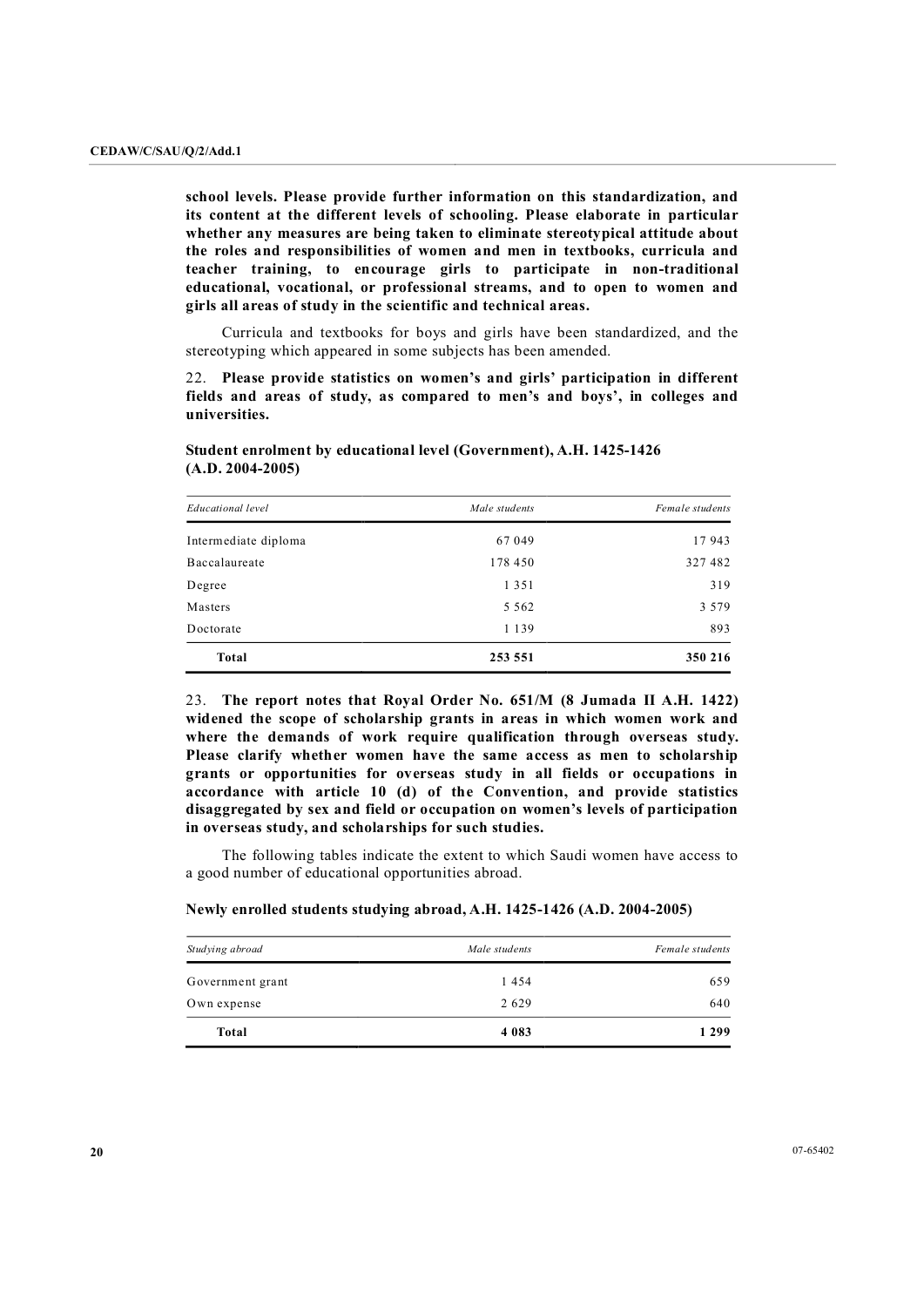**school levels. Please provide further information on this standardization, and its content at the different levels of schooling. Please elaborate in particular whether any measures are being taken to eliminate stereotypical attitude about the roles and responsibilities of women and men in textbooks, curricula and teacher training, to encourage girls to participate in nontraditional educational, vocational, or professional streams, and to open to women and girls all areas of study in the scientific and technical areas.**

Curricula and textbooks for boys and girls have been standardized, and the stereotyping which appeared in some subjects has been amended.

22. **Please provide statistics on women's and girls' participation in different fields and areas of study, as compared to men's and boys', in colleges and universities.** 

| Educational level    | Male students | Female students |
|----------------------|---------------|-----------------|
| Intermediate diploma | 67 049        | 17943           |
| Baccalaureate        | 178 450       | 327 482         |
| Degree               | 1 3 5 1       | 319             |
| Masters              | 5 5 6 2       | 3 5 7 9         |
| Doctorate            | 1 1 3 9       | 893             |
| <b>Total</b>         | 253 551       | 350 216         |

## **Student enrolment by educational level (Government), A.H. 1425-1426 (A.D. 20042005)**

23. **The report notes that Royal Order No. 651/M (8 Jumada II A.H. 1422) widened the scope of scholarship grants in areas in which women work and where the demands of work require qualification through overseas study. Please clarify whether women have the same access as men to scholarship grants or opportunities for overseas study in all fields or occupations in accordance with article 10 (d) of the Convention, and provide statistics disaggregated by sex and field or occupation on women's levels of participation in overseas study, and scholarships for such studies.**

The following tables indicate the extent to which Saudi women have access to a good number of educational opportunities abroad.

#### **Newly enrolled students studying abroad, A.H. 14251426 (A.D. 20042005)**

| Studying abroad  | Male students | Female students |
|------------------|---------------|-----------------|
| Government grant | 1454          | 659             |
| Own expense      | 2629          | 640             |
| Total            | 4 0 8 3       | 1 2 9 9         |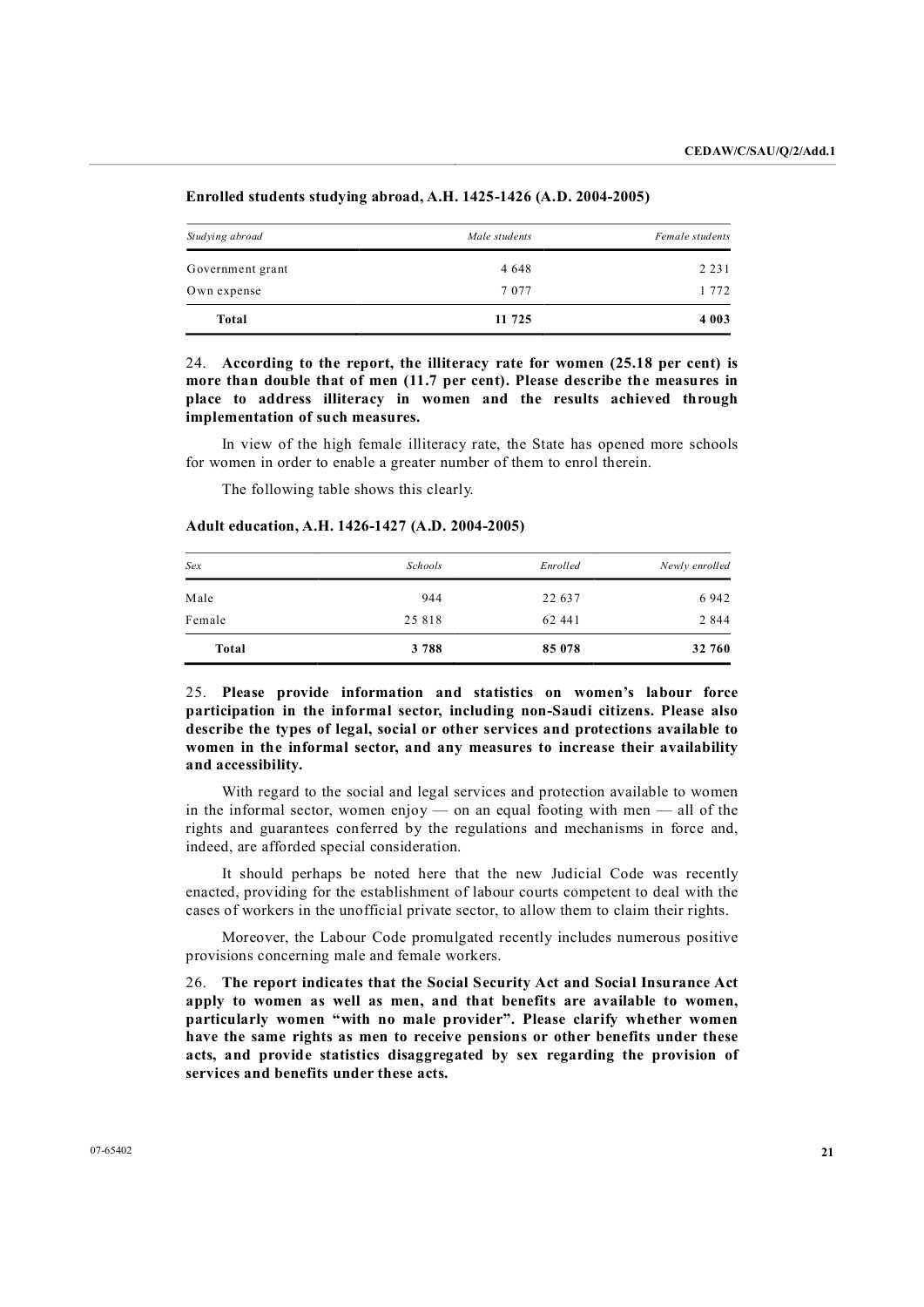| Studying abroad  | Male students | Female students |  |
|------------------|---------------|-----------------|--|
| Government grant | 4 6 4 8       | 2 2 3 1         |  |
| Own expense      | 7 0 7 7       | 1 772           |  |
| <b>Total</b>     | 11 725        | 4 0 0 3         |  |

## **Enrolled students studying abroad, A.H. 14251426 (A.D. 20042005)**

24. **According to the report, the illiteracy rate for women (25.18 per cent) is more than double that of men (11.7 per cent). Please describe the measures in place to address illiteracy in women and the results achieved through implementation of such measures.**

In view of the high female illiteracy rate, the State has opened more schools for women in order to enable a greater number of them to enrol therein.

The following table shows this clearly.

#### **Adult education, A.H. 14261427 (A.D. 20042005)**

| Male   | 944    | 22 637 | 6942    |
|--------|--------|--------|---------|
| Female | 25 818 | 62 441 | 2 8 4 4 |
| Total  | 3788   | 85 078 | 32 760  |

25. **Please provide information and statistics on women's labour force participation in the informal sector, including nonSaudi citizens. Please also describe the types of legal, social or other services and protections available to women in the informal sector, and any measures to increase their availability and accessibility.**

With regard to the social and legal services and protection available to women in the informal sector, women enjoy  $-$  on an equal footing with men  $-$  all of the rights and guarantees conferred by the regulations and mechanisms in force and, indeed, are afforded special consideration.

It should perhaps be noted here that the new Judicial Code was recently enacted, providing for the establishment of labour courts competent to deal with the cases of workers in the unofficial private sector, to allow them to claim their rights.

Moreover, the Labour Code promulgated recently includes numerous positive provisions concerning male and female workers.

26. **The report indicates that the Social Security Act and Social Insurance Act apply to women as well as men, and that benefits are available to women, particularly women "with no male provider". Please clarify whether women have the same rights as men to receive pensions or other benefits under these acts, and provide statistics disaggregated by sex regarding the provision of services and benefits under these acts.**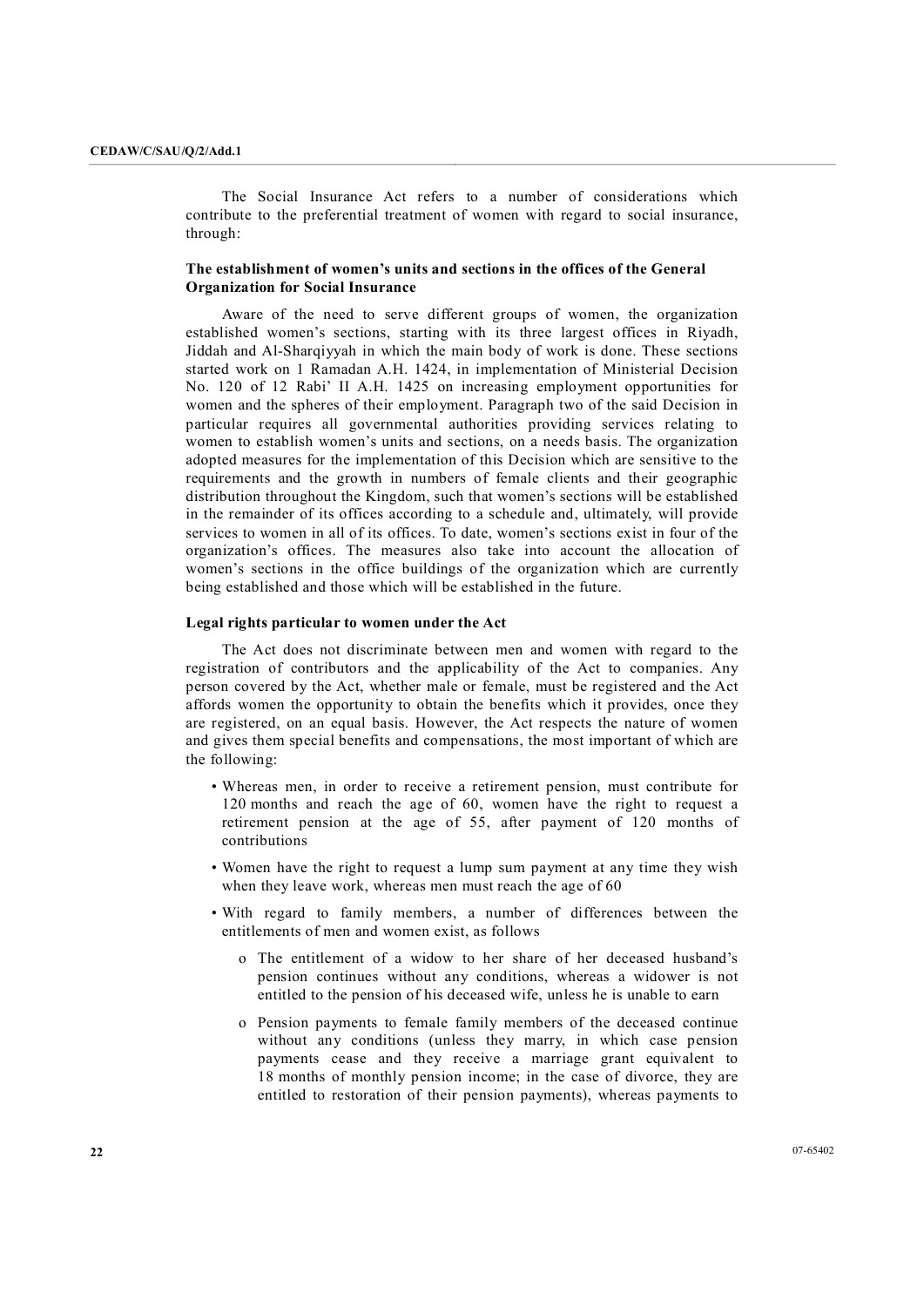The Social Insurance Act refers to a number of considerations which contribute to the preferential treatment of women with regard to social insurance, through:

## **The establishment of women's units and sections in the offices of the General Organization for Social Insurance**

Aware of the need to serve different groups of women, the organization established women's sections, starting with its three largest offices in Riyadh, Jiddah and AlSharqiyyah in which the main body of work is done. These sections started work on 1 Ramadan A.H. 1424, in implementation of Ministerial Decision No. 120 of 12 Rabi' II A.H. 1425 on increasing employment opportunities for women and the spheres of their employment. Paragraph two of the said Decision in particular requires all governmental authorities providing services relating to women to establish women's units and sections, on a needs basis. The organization adopted measures for the implementation of this Decision which are sensitive to the requirements and the growth in numbers of female clients and their geographic distribution throughout the Kingdom, such that women's sections will be established in the remainder of its offices according to a schedule and, ultimately, will provide services to women in all of its offices. To date, women's sections exist in four of the organization's offices. The measures also take into account the allocation of women's sections in the office buildings of the organization which are currently being established and those which will be established in the future.

## **Legal rights particular to women under the Act**

The Act does not discriminate between men and women with regard to the registration of contributors and the applicability of the Act to companies. Any person covered by the Act, whether male or female, must be registered and the Act affords women the opportunity to obtain the benefits which it provides, once they are registered, on an equal basis. However, the Act respects the nature of women and gives them special benefits and compensations, the most important of which are the following:

- Whereas men, in order to receive a retirement pension, must contribute for 120 months and reach the age of 60, women have the right to request a retirement pension at the age of 55, after payment of 120 months of contributions
- Women have the right to request a lump sum payment at any time they wish when they leave work, whereas men must reach the age of 60
- With regard to family members, a number of differences between the entitlements of men and women exist, as follows
	- o The entitlement of a widow to her share of her deceased husband's pension continues without any conditions, whereas a widower is not entitled to the pension of his deceased wife, unless he is unable to earn
	- o Pension payments to female family members of the deceased continue without any conditions (unless they marry, in which case pension payments cease and they receive a marriage grant equivalent to 18 months of monthly pension income; in the case of divorce, they are entitled to restoration of their pension payments), whereas payments to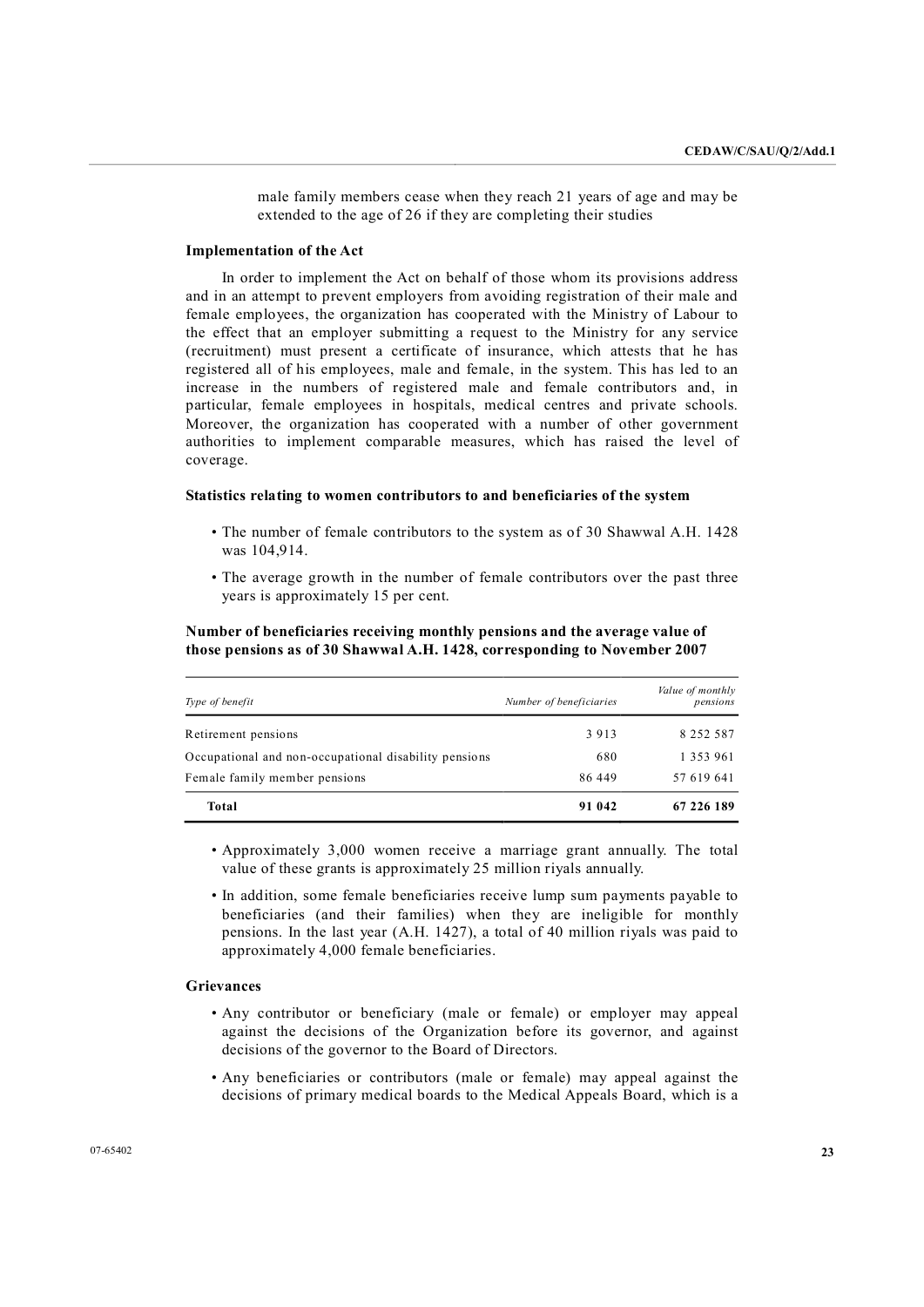male family members cease when they reach 21 years of age and may be extended to the age of 26 if they are completing their studies

#### **Implementation of the Act**

In order to implement the Act on behalf of those whom its provisions address and in an attempt to prevent employers from avoiding registration of their male and female employees, the organization has cooperated with the Ministry of Labour to the effect that an employer submitting a request to the Ministry for any service (recruitment) must present a certificate of insurance, which attests that he has registered all of his employees, male and female, in the system. This has led to an increase in the numbers of registered male and female contributors and, in particular, female employees in hospitals, medical centres and private schools. Moreover, the organization has cooperated with a number of other government authorities to implement comparable measures, which has raised the level of coverage.

#### **Statistics relating to women contributors to and beneficiaries of the system**

- The number of female contributors to the system as of 30 Shawwal A.H. 1428 was 104,914.
- The average growth in the number of female contributors over the past three years is approximately 15 per cent.

## **Number of beneficiaries receiving monthly pensions and the average value of those pensions as of 30 Shawwal A.H. 1428, corresponding to November 2007**

| Type of benefit                                       | Number of beneficiaries | Value of monthly<br>pensions |
|-------------------------------------------------------|-------------------------|------------------------------|
| Retirement pensions                                   | 3913                    | 8 2 5 2 5 8 7                |
| Occupational and non-occupational disability pensions | 680                     | 1 3 5 3 9 6 1                |
| Female family member pensions                         | 86 449                  | 57 619 641                   |
| Total                                                 | 91 042                  | 67 226 189                   |

• Approximately 3,000 women receive a marriage grant annually. The total value of these grants is approximately 25 million riyals annually.

• In addition, some female beneficiaries receive lump sum payments payable to beneficiaries (and their families) when they are ineligible for monthly pensions. In the last year (A.H. 1427), a total of 40 million riyals was paid to approximately 4,000 female beneficiaries.

## **Grievances**

- Any contributor or beneficiary (male or female) or employer may appeal against the decisions of the Organization before its governor, and against decisions of the governor to the Board of Directors.
- Any beneficiaries or contributors (male or female) may appeal against the decisions of primary medical boards to the Medical Appeals Board, which is a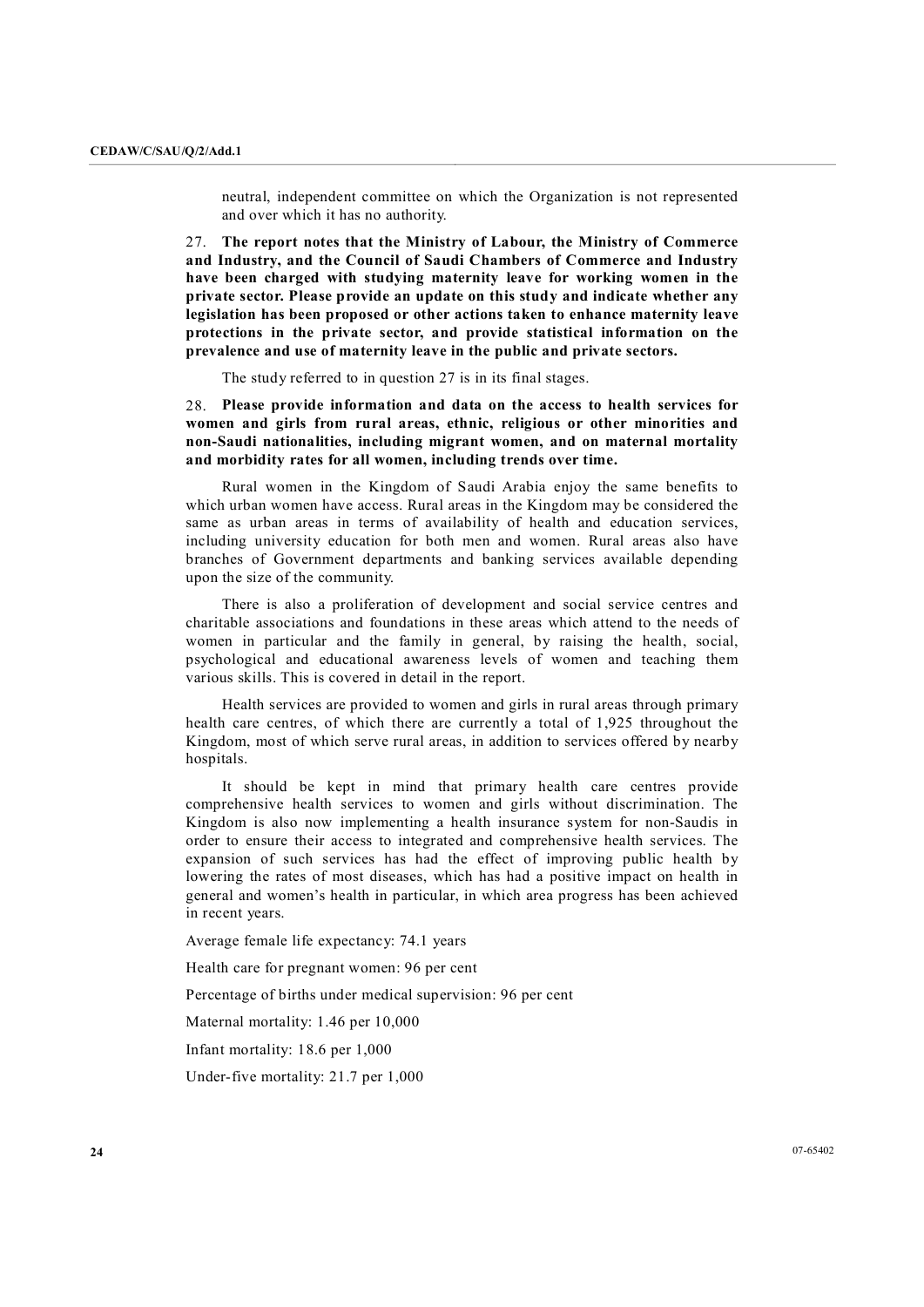neutral, independent committee on which the Organization is not represented and over which it has no authority.

27. **The report notes that the Ministry of Labour, the Ministry of Commerce and Industry, and the Council of Saudi Chambers of Commerce and Industry have been charged with studying maternity leave for working women in the private sector. Please provide an update on this study and indicate whether any legislation has been proposed or other actions taken to enhance maternity leave protections in the private sector, and provide statistical information on the prevalence and use of maternity leave in the public and private sectors.**

The study referred to in question 27 is in its final stages.

28. **Please provide information and data on the access to health services for women and girls from rural areas, ethnic, religious or other minorities and nonSaudi nationalities, including migrant women, and on maternal mortality and morbidity rates for all women, including trends over time.**

Rural women in the Kingdom of Saudi Arabia enjoy the same benefits to which urban women have access. Rural areas in the Kingdom may be considered the same as urban areas in terms of availability of health and education services, including university education for both men and women. Rural areas also have branches of Government departments and banking services available depending upon the size of the community.

There is also a proliferation of development and social service centres and charitable associations and foundations in these areas which attend to the needs of women in particular and the family in general, by raising the health, social, psychological and educational awareness levels of women and teaching them various skills. This is covered in detail in the report.

Health services are provided to women and girls in rural areas through primary health care centres, of which there are currently a total of 1,925 throughout the Kingdom, most of which serve rural areas, in addition to services offered by nearby hospitals.

It should be kept in mind that primary health care centres provide comprehensive health services to women and girls without discrimination. The Kingdom is also now implementing a health insurance system for non-Saudis in order to ensure their access to integrated and comprehensive health services. The expansion of such services has had the effect of improving public health by lowering the rates of most diseases, which has had a positive impact on health in general and women's health in particular, in which area progress has been achieved in recent years.

Average female life expectancy: 74.1 years

Health care for pregnant women: 96 per cent

Percentage of births under medical supervision: 96 per cent

Maternal mortality: 1.46 per 10,000

Infant mortality: 18.6 per 1,000

Under-five mortality: 21.7 per 1,000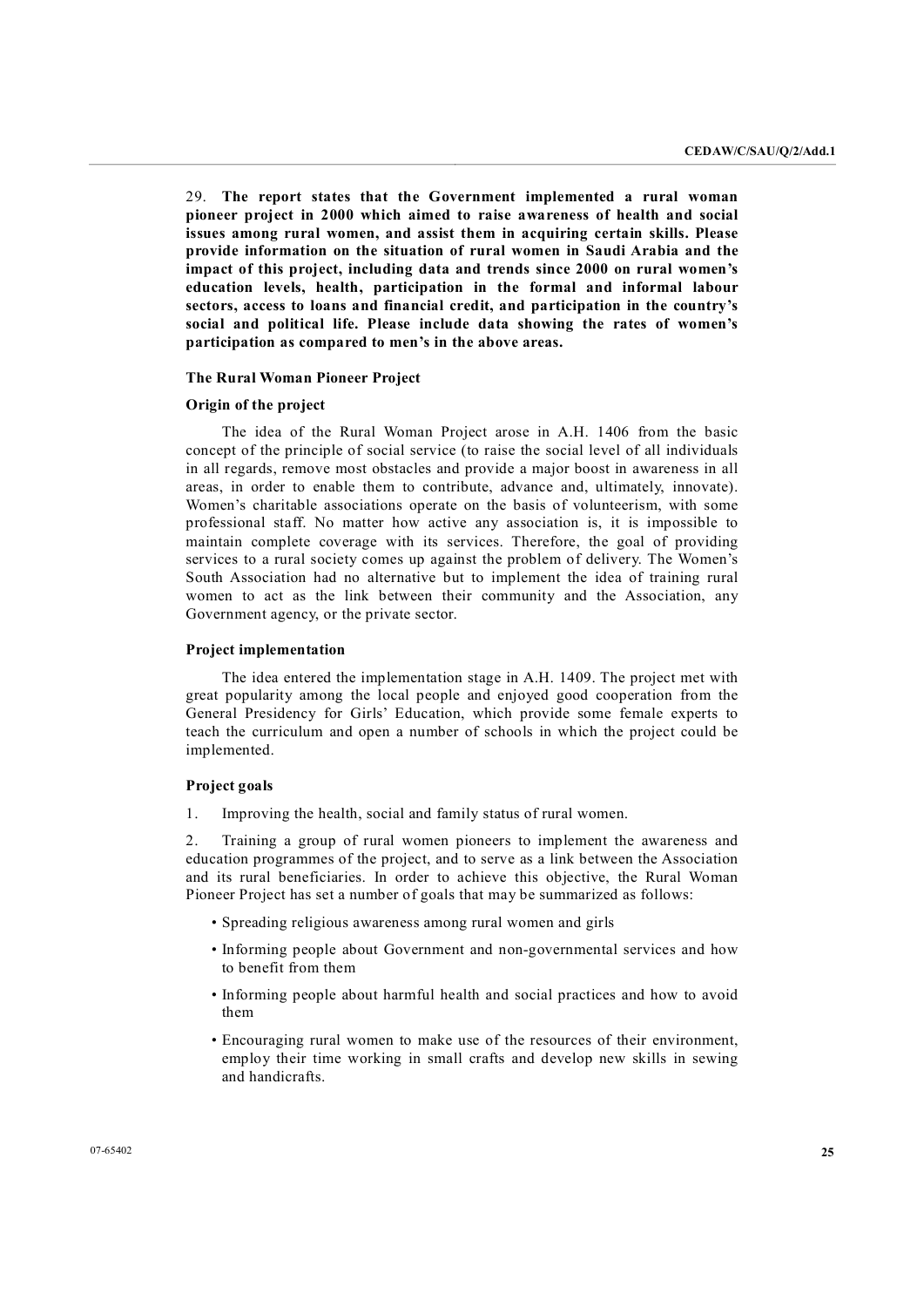29. **The report states that the Government implemented a rural woman pioneer project in 2000 which aimed to raise awareness of health and social issues among rural women, and assist them in acquiring certain skills. Please provide information on the situation of rural women in Saudi Arabia and the impact of this project, including data and trends since 2000 on rural women's education levels, health, participation in the formal and informal labour sectors, access to loans and financial credit, and participation in the country's social and political life. Please include data showing the rates of women's participation as compared to men's in the above areas.** 

#### **The Rural Woman Pioneer Project**

### **Origin of the project**

The idea of the Rural Woman Project arose in A.H. 1406 from the basic concept of the principle of social service (to raise the social level of all individuals in all regards, remove most obstacles and provide a major boost in awareness in all areas, in order to enable them to contribute, advance and, ultimately, innovate). Women's charitable associations operate on the basis of volunteerism, with some professional staff. No matter how active any association is, it is impossible to maintain complete coverage with its services. Therefore, the goal of providing services to a rural society comes up against the problem of delivery. The Women's South Association had no alternative but to implement the idea of training rural women to act as the link between their community and the Association, any Government agency, or the private sector.

#### **Project implementation**

The idea entered the implementation stage in A.H. 1409. The project met with great popularity among the local people and enjoyed good cooperation from the General Presidency for Girls' Education, which provide some female experts to teach the curriculum and open a number of schools in which the project could be implemented.

#### **Project goals**

1. Improving the health, social and family status of rural women.

2. Training a group of rural women pioneers to implement the awareness and education programmes of the project, and to serve as a link between the Association and its rural beneficiaries. In order to achieve this objective, the Rural Woman Pioneer Project has set a number of goals that may be summarized as follows:

- Spreading religious awareness among rural women and girls
- Informing people about Government and non-governmental services and how to benefit from them
- Informing people about harmful health and social practices and how to avoid them
- Encouraging rural women to make use of the resources of their environment, employ their time working in small crafts and develop new skills in sewing and handicrafts.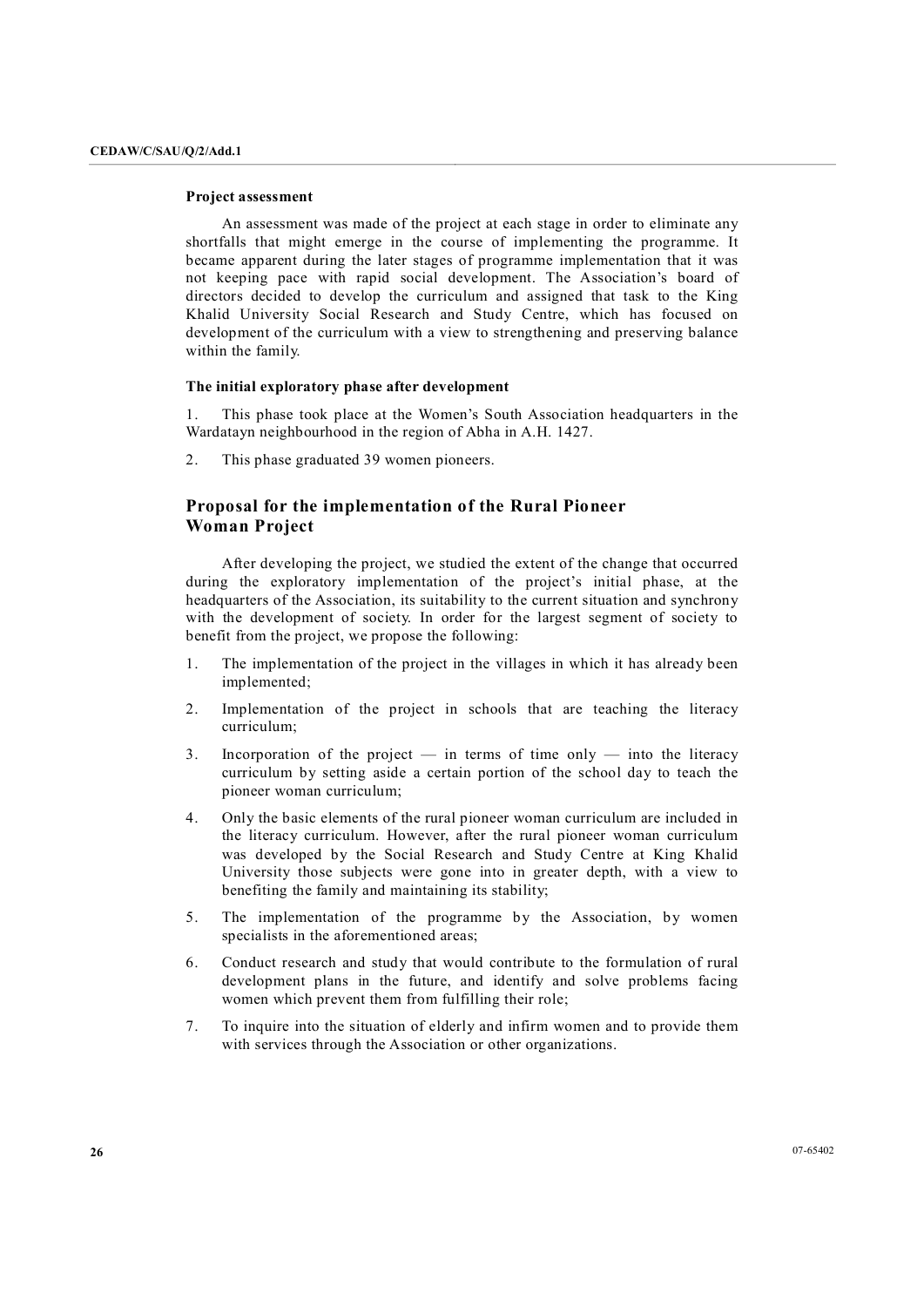## **Project assessment**

An assessment was made of the project at each stage in order to eliminate any shortfalls that might emerge in the course of implementing the programme. It became apparent during the later stages of programme implementation that it was not keeping pace with rapid social development. The Association's board of directors decided to develop the curriculum and assigned that task to the King Khalid University Social Research and Study Centre, which has focused on development of the curriculum with a view to strengthening and preserving balance within the family.

#### **The initial exploratory phase after development**

1. This phase took place at the Women's South Association headquarters in the Wardatayn neighbourhood in the region of Abha in A.H. 1427.

2. This phase graduated 39 women pioneers.

# **Proposal for the implementation of the Rural Pioneer Woman Project**

After developing the project, we studied the extent of the change that occurred during the exploratory implementation of the project's initial phase, at the headquarters of the Association, its suitability to the current situation and synchrony with the development of society. In order for the largest segment of society to benefit from the project, we propose the following:

- 1. The implementation of the project in the villages in which it has already been implemented;
- 2. Implementation of the project in schools that are teaching the literacy curriculum;
- 3. Incorporation of the project  $-$  in terms of time only  $-$  into the literacy curriculum by setting aside a certain portion of the school day to teach the pioneer woman curriculum;
- 4. Only the basic elements of the rural pioneer woman curriculum are included in the literacy curriculum. However, after the rural pioneer woman curriculum was developed by the Social Research and Study Centre at King Khalid University those subjects were gone into in greater depth, with a view to benefiting the family and maintaining its stability;
- 5. The implementation of the programme by the Association, by women specialists in the aforementioned areas;
- 6. Conduct research and study that would contribute to the formulation of rural development plans in the future, and identify and solve problems facing women which prevent them from fulfilling their role;
- 7. To inquire into the situation of elderly and infirm women and to provide them with services through the Association or other organizations.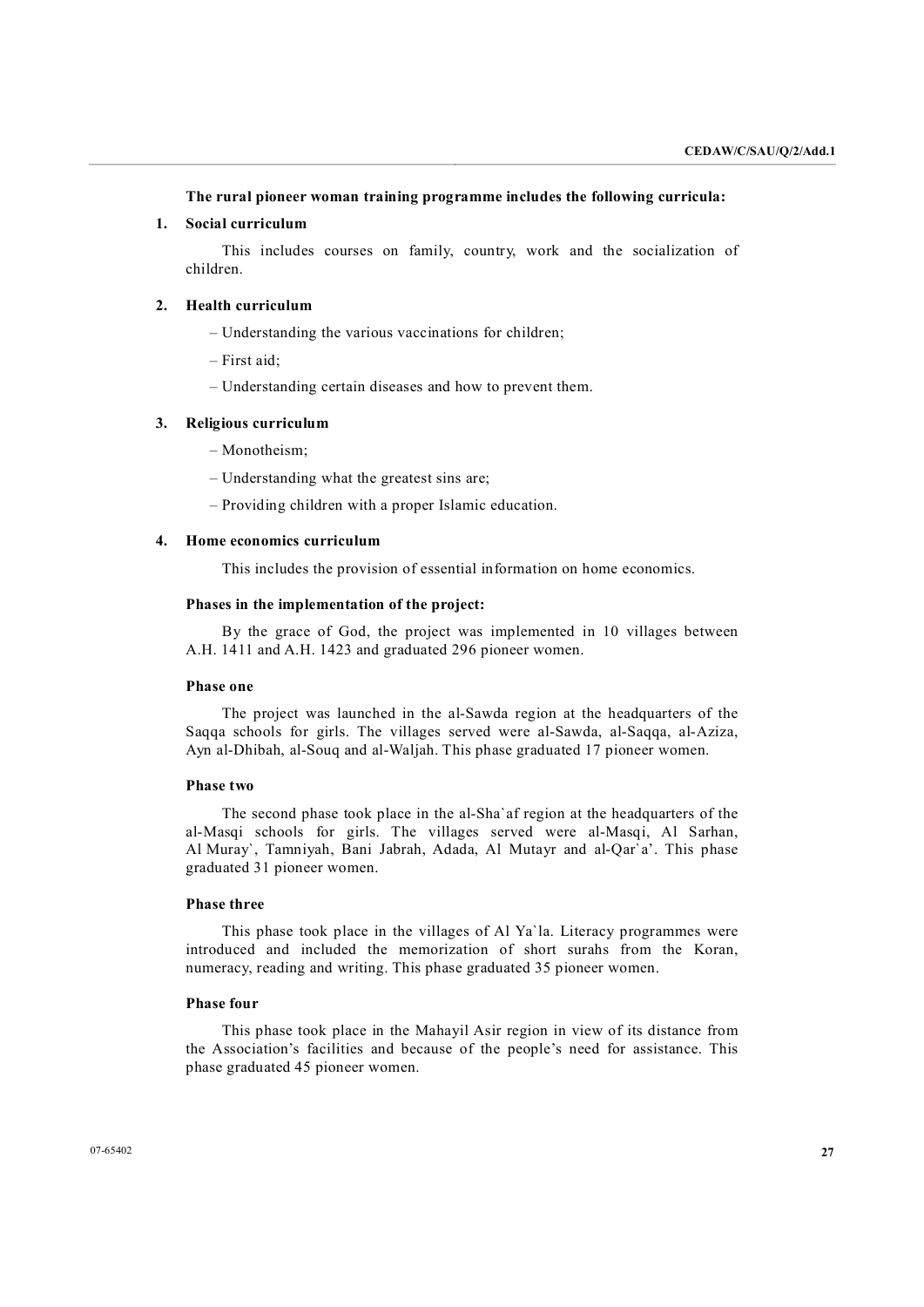**The rural pioneer woman training programme includes the following curricula:**

## **1. Social curriculum**

This includes courses on family, country, work and the socialization of children.

## **2. Health curriculum**

- Understanding the various vaccinations for children;
- First aid;
- Understanding certain diseases and how to prevent them.

#### **3. Religious curriculum**

- Monotheism;
- Understanding what the greatest sins are;
- Providing children with a proper Islamic education.

## **4. Home economics curriculum**

This includes the provision of essential information on home economics.

#### **Phases in the implementation of the project:**

By the grace of God, the project was implemented in 10 villages between A.H. 1411 and A.H. 1423 and graduated 296 pioneer women.

## **Phase one**

The project was launched in the al-Sawda region at the headquarters of the Saqqa schools for girls. The villages served were al-Sawda, al-Saqqa, al-Aziza, Ayn al-Dhibah, al-Souq and al-Waljah. This phase graduated 17 pioneer women.

#### **Phase two**

The second phase took place in the al-Sha'af region at the headquarters of the al-Masqi schools for girls. The villages served were al-Masqi, Al Sarhan, Al Muray`, Tamniyah, Bani Jabrah, Adada, Al Mutayr and al-Qar`a'. This phase graduated 31 pioneer women.

#### **Phase three**

This phase took place in the villages of Al Ya`la. Literacy programmes were introduced and included the memorization of short surahs from the Koran, numeracy, reading and writing. This phase graduated 35 pioneer women.

#### **Phase four**

This phase took place in the Mahayil Asir region in view of its distance from the Association's facilities and because of the people's need for assistance. This phase graduated 45 pioneer women.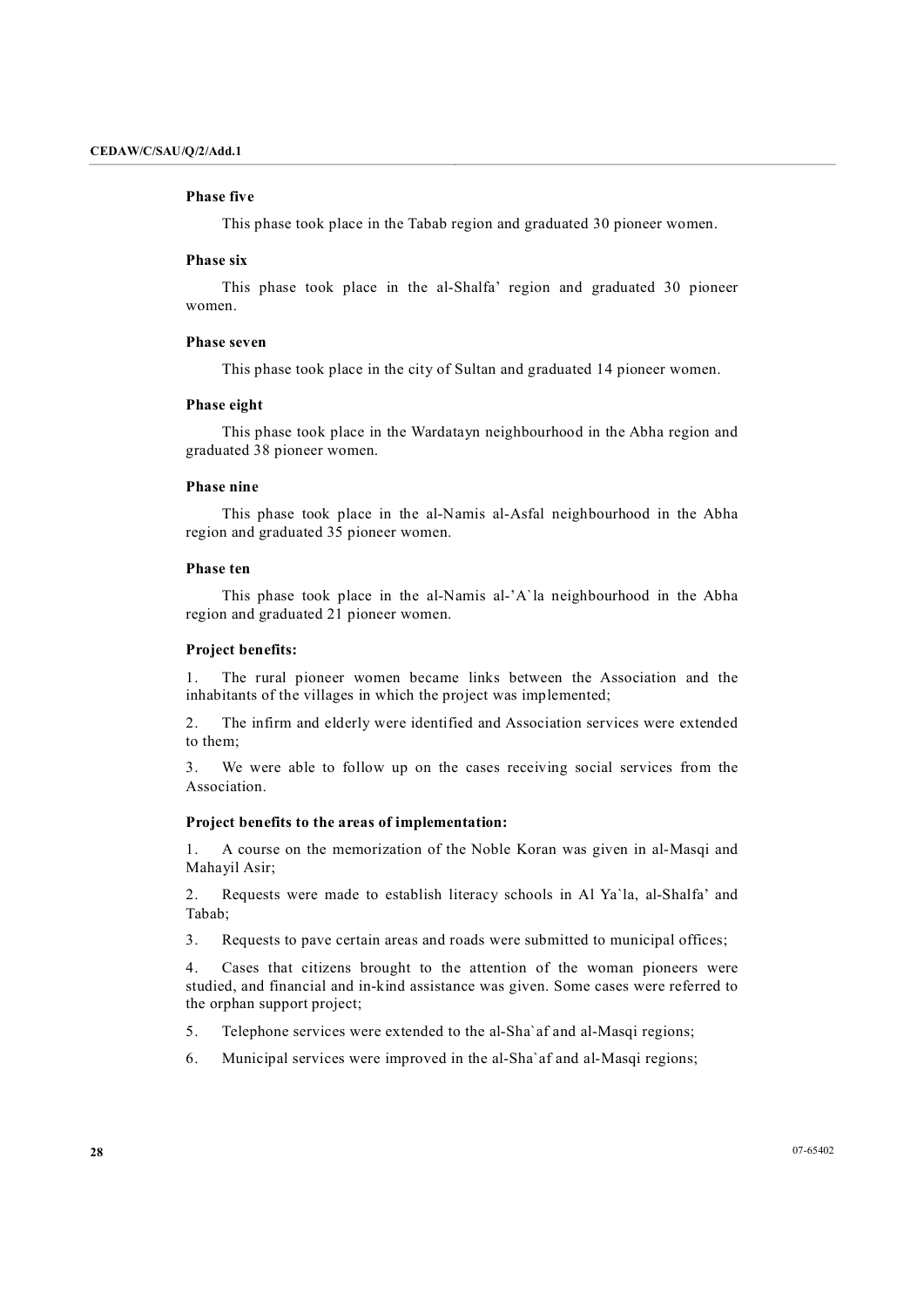#### **Phase five**

This phase took place in the Tabab region and graduated 30 pioneer women.

#### **Phase six**

This phase took place in the al-Shalfa' region and graduated 30 pioneer women.

#### **Phase seven**

This phase took place in the city of Sultan and graduated 14 pioneer women.

#### **Phase eight**

This phase took place in the Wardatayn neighbourhood in the Abha region and graduated 38 pioneer women.

#### **Phase nine**

This phase took place in the al-Namis al-Asfal neighbourhood in the Abha region and graduated 35 pioneer women.

## **Phase ten**

This phase took place in the al-Namis al-'A'la neighbourhood in the Abha region and graduated 21 pioneer women.

#### **Project benefits:**

1. The rural pioneer women became links between the Association and the inhabitants of the villages in which the project was implemented;

2. The infirm and elderly were identified and Association services were extended to them;

3. We were able to follow up on the cases receiving social services from the Association.

### **Project benefits to the areas of implementation:**

1. A course on the memorization of the Noble Koran was given in al-Masqi and Mahayil Asir;

2. Requests were made to establish literacy schools in Al Ya'la, al-Shalfa' and Tabab;

3. Requests to pave certain areas and roads were submitted to municipal offices;

4. Cases that citizens brought to the attention of the woman pioneers were studied, and financial and in-kind assistance was given. Some cases were referred to the orphan support project;

- 5. Telephone services were extended to the al-Sha'af and al-Masqi regions;
- 6. Municipal services were improved in the al-Sha`af and al-Masqi regions;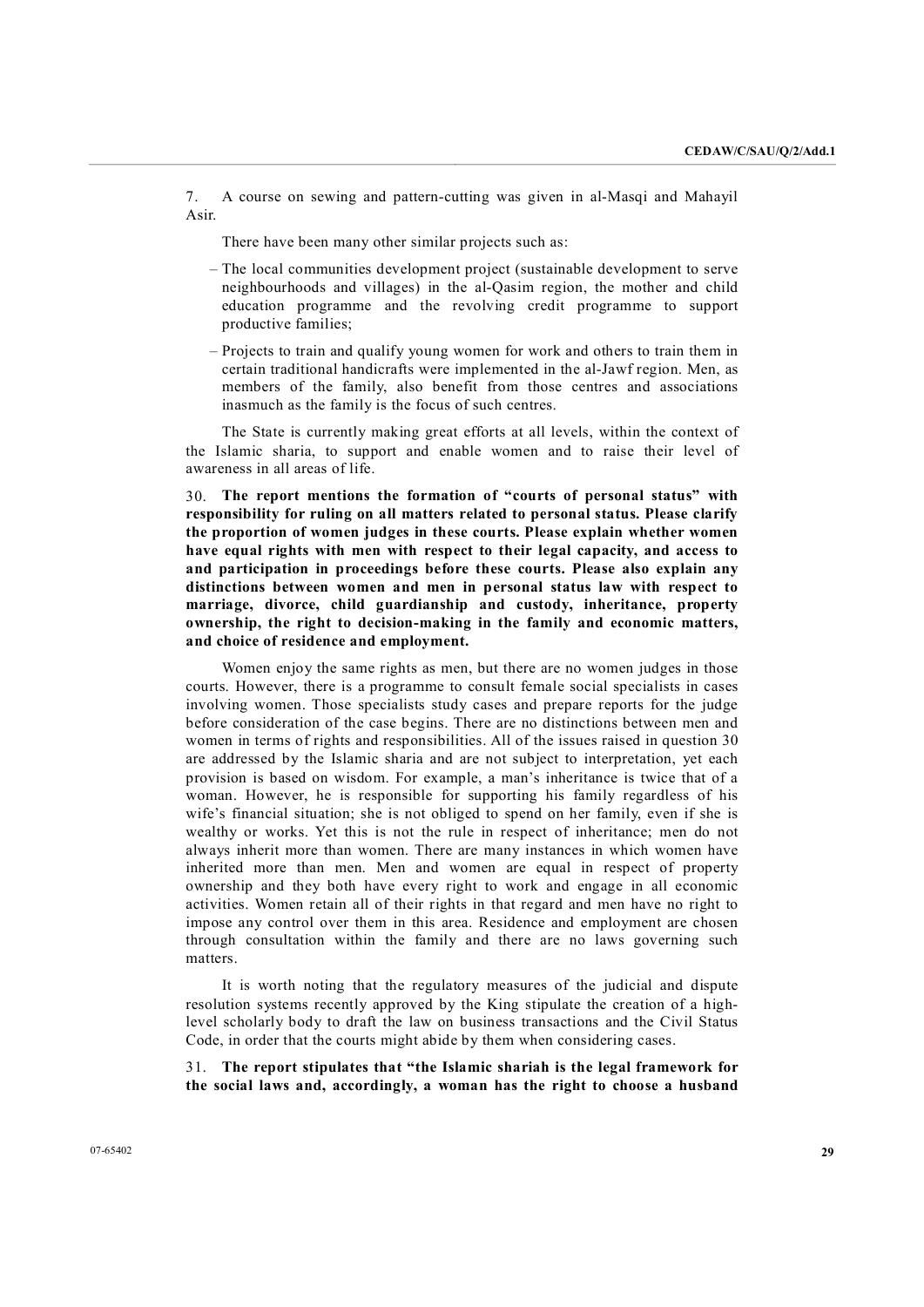7. A course on sewing and pattern-cutting was given in al-Masqi and Mahayil Asir.<br>There have been many other similar projects such as:

- The local communities development project (sustainable development to serve neighbourhoods and villages) in the al-Qasim region, the mother and child education programme and the revolving credit programme to support productive families;
- Projects to train and qualify young women for work and others to train them in certain traditional handicrafts were implemented in the al-Jawf region. Men, as members of the family, also benefit from those centres and associations inasmuch as the family is the focus of such centres.

The State is currently making great efforts at all levels, within the context of the Islamic sharia, to support and enable women and to raise their level of awareness in all areas of life.

30. **The report mentions the formation of "courts of personal status" with responsibility for ruling on all matters related to personal status. Please clarify the proportion of women judges in these courts. Please explain whether women have equal rights with men with respect to their legal capacity, and access to and participation in proceedings before these courts. Please also explain any distinctions between women and men in personal status law with respect to marriage, divorce, child guardianship and custody, inheritance, property** *l***<sub>ownership, the right to decision-making in the family and economic matters,**</sub> **and choice of residence and employment.**

Women enjoy the same rights as men, but there are no women judges in those courts. However, there is a programme to consult female social specialists in cases involving women. Those specialists study cases and prepare reports for the judge before consideration of the case begins. There are no distinctions between men and women in terms of rights and responsibilities. All of the issues raised in question 30 are addressed by the Islamic sharia and are not subject to interpretation, yet each provision is based on wisdom. For example, a man's inheritance is twice that of a woman. However, he is responsible for supporting his family regardless of his wife's financial situation; she is not obliged to spend on her family, even if she is wealthy or works. Yet this is not the rule in respect of inheritance; men do not always inherit more than women. There are many instances in which women have inherited more than men. Men and women are equal in respect of property ownership and they both have every right to work and engage in all economic activities. Women retain all of their rights in that regard and men have no right to impose any control over them in this area. Residence and employment are chosen through consultation within the family and there are no laws governing such matters.

It is worth noting that the regulatory measures of the judicial and dispute resolution systems recently approved by the King stipulate the creation of a highlevel scholarly body to draft the law on business transactions and the Civil Status Code, in order that the courts might abide by them when considering cases.

31. **The report stipulates that "the Islamic shariah is the legal framework for the social laws and, accordingly, a woman has the right to choose a husband**